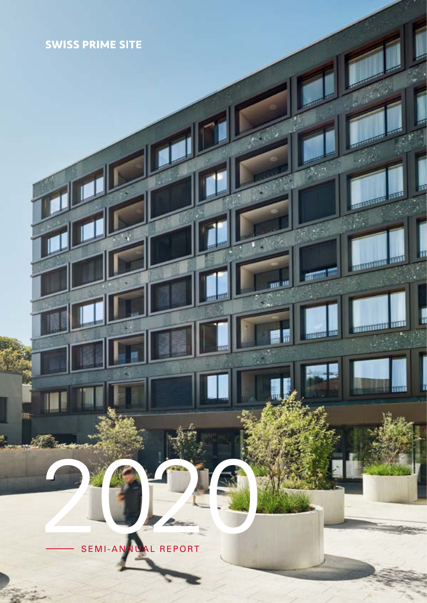# **SWISS PRIME SITE**

2020 SEMI-ANNUAL REPORT

**THE REAL** 

**TITULE**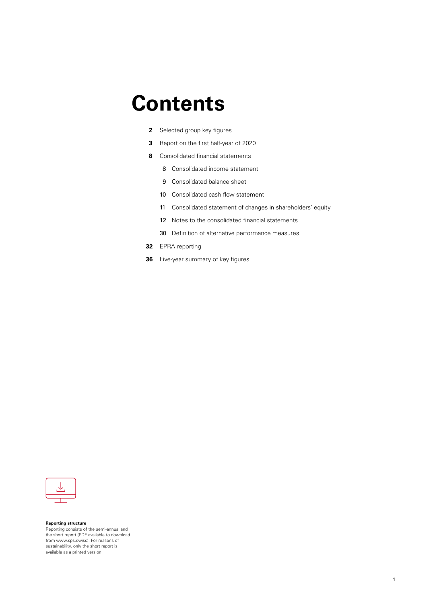# **Contents**

- **2** Selected group key figures
- **3** Report on the first half-year of 2020
- **8** Consolidated financial statements
	- 8 Consolidated income statement
	- 9 Consolidated balance sheet
	- 10 Consolidated cash flow statement
	- 11 Consolidated statement of changes in shareholders' equity
	- 12 Notes to the consolidated financial statements
	- 30 Definition of alternative performance measures
- **32** EPRA reporting
- **36** Five-year summary of key figures



**Reporting structure** Reporting consists of the semi-annual and the short report (PDF available to download from www.sps.swiss). For reasons of sustainability, only the short report is available as a printed version.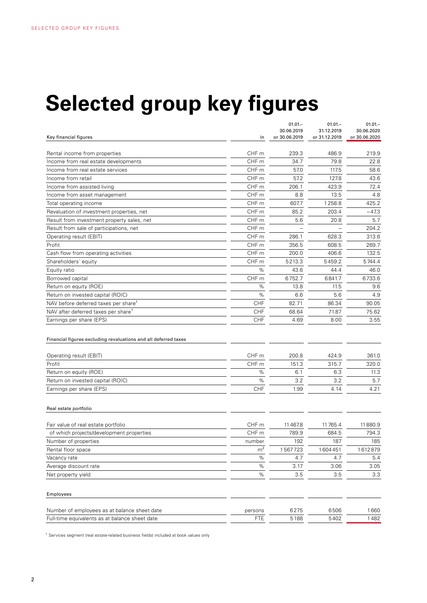# **Selected group key figures**

|                                                                 |                  | $01.01 -$<br>30.06.2019 | $01.01 -$<br>31.12.2019 | $01.01 -$<br>30.06.2020 |
|-----------------------------------------------------------------|------------------|-------------------------|-------------------------|-------------------------|
| Key financial figures                                           | in               | or 30.06.2019           | or 31.12.2019           | or 30.06.2020           |
|                                                                 |                  |                         |                         |                         |
| Rental income from properties                                   | CHF m            | 239.3                   | 486.9                   | 219.9                   |
| Income from real estate developments                            | CHF <sub>m</sub> | 34.7                    | 79.8                    | 22.8                    |
| Income from real estate services                                | CHF m            | 57.0                    | 117.5                   | 58.6                    |
| Income from retail                                              | CHF <sub>m</sub> | 57.2                    | 127.8                   | 43.6                    |
| Income from assisted living                                     | CHF m            | 206.1                   | 423.9                   | 72.4                    |
| Income from asset management                                    | CHF <sub>m</sub> | 8.8                     | 13.5                    | 4.8                     |
| Total operating income                                          | CHF <sub>m</sub> | 607.7                   | 1258.8                  | 425.2                   |
| Revaluation of investment properties, net                       | CHF <sub>m</sub> | 85.2                    | 203.4                   | $-47.3$                 |
| Result from investment property sales, net                      | CHF m            | 5.6                     | 20.8                    | 5.7                     |
| Result from sale of participations, net                         | CHF m            |                         |                         | 204.2                   |
| Operating result (EBIT)                                         | CHF <sub>m</sub> | 286.1                   | 628.3                   | 313.6                   |
| Profit                                                          | CHF m            | 356.5                   | 608.5                   | 269.7                   |
| Cash flow from operating activities                             | CHF <sub>m</sub> | 200.0                   | 406.6                   | 132.5                   |
| Shareholders' equity                                            | CHF m            | 5213.3                  | 5459.2                  | 5744.4                  |
| Equity ratio                                                    | %                | 43.6                    | 44.4                    | 46.0                    |
| Borrowed capital                                                | CHF m            | 6752.7                  | 6841.7                  | 6733.6                  |
| Return on equity (ROE)                                          | %                | 13.8                    | 11.5                    | 9.6                     |
| Return on invested capital (ROIC)                               | %                | 6.6                     | 5.6                     | 4.9                     |
| NAV before deferred taxes per share <sup>1</sup>                | CHF              | 82.71                   | 86.34                   | 90.05                   |
| NAV after deferred taxes per share <sup>1</sup>                 | <b>CHF</b>       | 68.64                   | 71.87                   | 75.62                   |
| Earnings per share (EPS)                                        | CHF              | 4.69                    | 8.00                    | 3.55                    |
| Financial figures excluding revaluations and all deferred taxes |                  |                         |                         |                         |
| Operating result (EBIT)                                         | CHF <sub>m</sub> | 200.8                   | 424.9                   | 361.0                   |
| Profit                                                          | CHF <sub>m</sub> | 151.3                   | 315.7                   | 320.0                   |
| Return on equity (ROE)                                          | %                | 6.1                     | 6.3                     | 11.3                    |
| Return on invested capital (ROIC)                               | %                | 3.2                     | 3.2                     | 5.7                     |
| Earnings per share (EPS)                                        | <b>CHF</b>       | 1.99                    | 4.14                    | 4.21                    |
| Real estate portfolio                                           |                  |                         |                         |                         |
| Fair value of real estate portfolio                             | CHF <sub>m</sub> | 11467.8                 | 11765.4                 | 11880.9                 |
| of which projects/development properties                        | CHF m            | 789.9                   | 684.5                   | 794.3                   |
| Number of properties                                            | number           | 192                     | 187                     | 185                     |
| Rental floor space                                              | m <sup>2</sup>   | 1567723                 | 1604451                 | 1612879                 |
| Vacancy rate                                                    | %                | 4.7                     | 4.7                     | 5.4                     |
| Average discount rate                                           | $\%$             | 3.17                    | 3.06                    | 3.05                    |
| Net property yield                                              | $\%$             | 3.5                     | 3.5                     | 3.3                     |
|                                                                 |                  |                         |                         |                         |
| Employees                                                       |                  |                         |                         |                         |
| Number of employees as at balance sheet date                    | persons          | 6275                    | 6506                    | 1660                    |
| Full-time equivalents as at balance sheet date                  | <b>FTE</b>       | 5188                    | 5402                    | 1482                    |
|                                                                 |                  |                         |                         |                         |

<sup>1</sup> Services segment (real estate-related business fields) included at book values only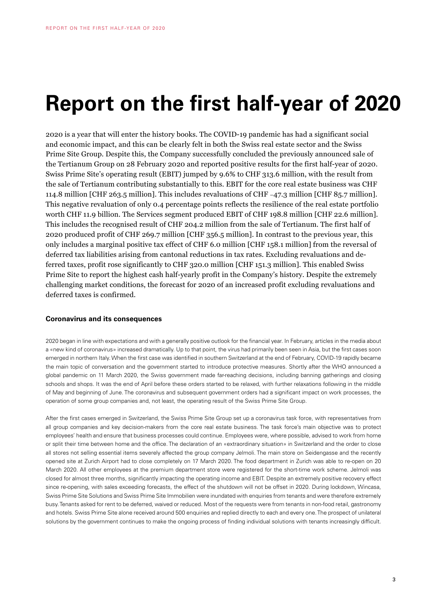# **Report on the first half-year of 2020**

2020 is a year that will enter the history books. The COVID-19 pandemic has had a significant social and economic impact, and this can be clearly felt in both the Swiss real estate sector and the Swiss Prime Site Group. Despite this, the Company successfully concluded the previously announced sale of the Tertianum Group on 28 February 2020 and reported positive results for the first half-year of 2020. Swiss Prime Site's operating result (EBIT) jumped by 9.6% to CHF 313.6 million, with the result from the sale of Tertianum contributing substantially to this. EBIT for the core real estate business was CHF 114.8 million [CHF 263.5 million]. This includes revaluations of CHF –47.3 million [CHF 85.7 million]. This negative revaluation of only 0.4 percentage points reflects the resilience of the real estate portfolio worth CHF 11.9 billion. The Services segment produced EBIT of CHF 198.8 million [CHF 22.6 million]. This includes the recognised result of CHF 204.2 million from the sale of Tertianum. The first half of 2020 produced profit of CHF 269.7 million [CHF 356.5 million]. In contrast to the previous year, this only includes a marginal positive tax effect of CHF 6.0 million [CHF 158.1 million] from the reversal of deferred tax liabilities arising from cantonal reductions in tax rates. Excluding revaluations and deferred taxes, profit rose significantly to CHF 320.0 million [CHF 151.3 million]. This enabled Swiss Prime Site to report the highest cash half-yearly profit in the Company's history. Despite the extremely challenging market conditions, the forecast for 2020 of an increased profit excluding revaluations and deferred taxes is confirmed.

#### **Coronavirus and its consequences**

2020 began in line with expectations and with a generally positive outlook for the financial year. In February, articles in the media about a «new kind of coronavirus» increased dramatically. Up to that point, the virus had primarily been seen in Asia, but the first cases soon emerged in northern Italy. When the first case was identified in southern Switzerland at the end of February, COVID-19 rapidly became the main topic of conversation and the government started to introduce protective measures. Shortly after the WHO announced a global pandemic on 11 March 2020, the Swiss government made far-reaching decisions, including banning gatherings and closing schools and shops. It was the end of April before these orders started to be relaxed, with further relaxations following in the middle of May and beginning of June. The coronavirus and subsequent government orders had a significant impact on work processes, the operation of some group companies and, not least, the operating result of the Swiss Prime Site Group.

After the first cases emerged in Switzerland, the Swiss Prime Site Group set up a coronavirus task force, with representatives from all group companies and key decision-makers from the core real estate business. The task force's main objective was to protect employees' health and ensure that business processes could continue. Employees were, where possible, advised to work from home or split their time between home and the office. The declaration of an «extraordinary situation» in Switzerland and the order to close all stores not selling essential items severely affected the group company Jelmoli. The main store on Seidengasse and the recently opened site at Zurich Airport had to close completely on 17 March 2020. The food department in Zurich was able to re-open on 20 March 2020. All other employees at the premium department store were registered for the short-time work scheme. Jelmoli was closed for almost three months, significantly impacting the operating income and EBIT. Despite an extremely positive recovery effect since re-opening, with sales exceeding forecasts, the effect of the shutdown will not be offset in 2020. During lockdown, Wincasa, Swiss Prime Site Solutions and Swiss Prime Site Immobilien were inundated with enquiries from tenants and were therefore extremely busy. Tenants asked for rent to be deferred, waived or reduced. Most of the requests were from tenants in non-food retail, gastronomy and hotels. Swiss Prime Site alone received around 500 enquiries and replied directly to each and every one. The prospect of unilateral solutions by the government continues to make the ongoing process of finding individual solutions with tenants increasingly difficult.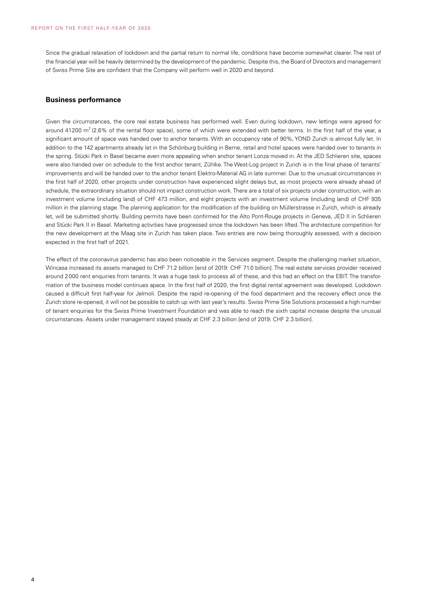Since the gradual relaxation of lockdown and the partial return to normal life, conditions have become somewhat clearer. The rest of the financial year will be heavily determined by the development of the pandemic. Despite this, the Board of Directors and management of Swiss Prime Site are confident that the Company will perform well in 2020 and beyond.

#### **Business performance**

Given the circumstances, the core real estate business has performed well. Even during lockdown, new lettings were agreed for around 41200  $\text{m}^2$  (2.6% of the rental floor space), some of which were extended with better terms. In the first half of the year, a significant amount of space was handed over to anchor tenants. With an occupancy rate of 90%, YOND Zurich is almost fully let. In addition to the 142 apartments already let in the Schönburg building in Berne, retail and hotel spaces were handed over to tenants in the spring. Stücki Park in Basel became even more appealing when anchor tenant Lonza moved in. At the JED Schlieren site, spaces were also handed over on schedule to the first anchor tenant, Zühlke. The West-Log project in Zurich is in the final phase of tenants' improvements and will be handed over to the anchor tenant Elektro-Material AG in late summer. Due to the unusual circumstances in the first half of 2020, other projects under construction have experienced slight delays but, as most projects were already ahead of schedule, the extraordinary situation should not impact construction work. There are a total of six projects under construction, with an investment volume (including land) of CHF 473 million, and eight projects with an investment volume (including land) of CHF 935 million in the planning stage. The planning application for the modification of the building on Müllerstrasse in Zurich, which is already let, will be submitted shortly. Building permits have been confirmed for the Alto Pont-Rouge projects in Geneva, JED II in Schlieren and Stücki Park II in Basel. Marketing activities have progressed since the lockdown has been lifted. The architecture competition for the new development at the Maag site in Zurich has taken place. Two entries are now being thoroughly assessed, with a decision expected in the first half of 2021.

The effect of the coronavirus pandemic has also been noticeable in the Services segment. Despite the challenging market situation, Wincasa increased its assets managed to CHF 71.2 billion [end of 2019: CHF 71.0 billion]. The real estate services provider received around 2000 rent enquiries from tenants. It was a huge task to process all of these, and this had an effect on the EBIT. The transformation of the business model continues apace. In the first half of 2020, the first digital rental agreement was developed. Lockdown caused a difficult first half-year for Jelmoli. Despite the rapid re-opening of the food department and the recovery effect once the Zurich store re-opened, it will not be possible to catch up with last year's results. Swiss Prime Site Solutions processed a high number of tenant enquiries for the Swiss Prime Investment Foundation and was able to reach the sixth capital increase despite the unusual circumstances. Assets under management stayed steady at CHF 2.3 billion [end of 2019: CHF 2.3 billion].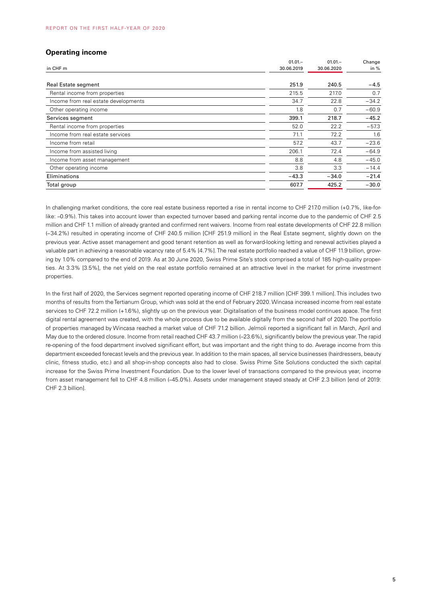### **Operating income**

| $01.01 -$  | $01.01 -$  | Change  |
|------------|------------|---------|
| 30.06.2019 | 30.06.2020 | in $%$  |
| 251.9      | 240.5      | $-4.5$  |
| 215.5      | 217.0      | 0.7     |
| 34.7       | 22.8       | $-34.2$ |
| 1.8        | 0.7        | $-60.9$ |
| 399.1      | 218.7      | $-45.2$ |
| 52.0       | 22.2       | $-57.3$ |
| 71.1       | 72.2       | 1.6     |
| 57.2       | 43.7       | $-23.6$ |
| 206.1      | 72.4       | $-64.9$ |
| 8.8        | 4.8        | $-45.0$ |
| 3.8        | 3.3        | $-14.4$ |
| $-43.3$    | $-34.0$    | $-21.4$ |
| 607.7      | 425.2      | $-30.0$ |
|            |            |         |

In challenging market conditions, the core real estate business reported a rise in rental income to CHF 217.0 million (+0.7%, like-forlike: –0.9%). This takes into account lower than expected turnover based and parking rental income due to the pandemic of CHF 2.5 million and CHF 1.1 million of already granted and confirmed rent waivers. Income from real estate developments of CHF 22.8 million (–34.2%) resulted in operating income of CHF 240.5 million [CHF 251.9 million] in the Real Estate segment, slightly down on the previous year. Active asset management and good tenant retention as well as forward-looking letting and renewal activities played a valuable part in achieving a reasonable vacancy rate of 5.4% [4.7%]. The real estate portfolio reached a value of CHF 11.9 billion, growing by 1.0% compared to the end of 2019. As at 30 June 2020, Swiss Prime Site's stock comprised a total of 185 high-quality properties. At 3.3% [3.5%], the net yield on the real estate portfolio remained at an attractive level in the market for prime investment properties.

In the first half of 2020, the Services segment reported operating income of CHF 218.7 million [CHF 399.1 million]. This includes two months of results from the Tertianum Group, which was sold at the end of February 2020. Wincasa increased income from real estate services to CHF 72.2 million (+1.6%), slightly up on the previous year. Digitalisation of the business model continues apace. The first digital rental agreement was created, with the whole process due to be available digitally from the second half of 2020. The portfolio of properties managed by Wincasa reached a market value of CHF 71.2 billion. Jelmoli reported a significant fall in March, April and May due to the ordered closure. Income from retail reached CHF 43.7 million (–23.6%), significantly below the previous year. The rapid re-opening of the food department involved significant effort, but was important and the right thing to do. Average income from this department exceeded forecast levels and the previous year. In addition to the main spaces, all service businesses (hairdressers, beauty clinic, fitness studio, etc.) and all shop-in-shop concepts also had to close. Swiss Prime Site Solutions conducted the sixth capital increase for the Swiss Prime Investment Foundation. Due to the lower level of transactions compared to the previous year, income from asset management fell to CHF 4.8 million (–45.0%). Assets under management stayed steady at CHF 2.3 billion [end of 2019: CHF 2.3 billion].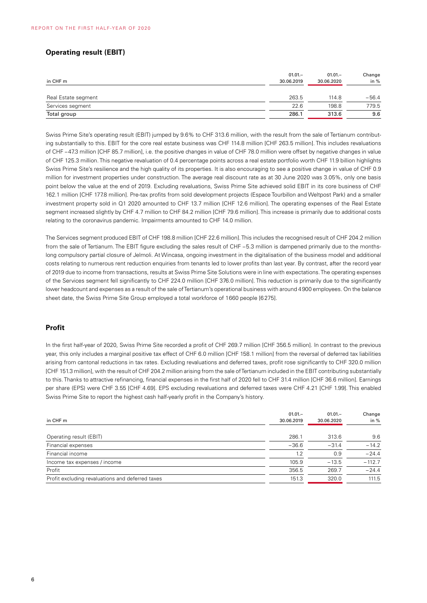# **Operating result (EBIT)**

| in CHF m            | $01.01 -$<br>30.06.2019 | $01.01 -$<br>30.06.2020 | Change<br>in $%$ |
|---------------------|-------------------------|-------------------------|------------------|
| Real Estate segment | 263.5                   | 114.8                   | $-56.4$          |
| Services segment    | 22.6                    | 198.8                   | 779.5            |
| Total group         | 286.1                   | 313.6                   | 9.6              |

Swiss Prime Site's operating result (EBIT) jumped by 9.6% to CHF 313.6 million, with the result from the sale of Tertianum contributing substantially to this. EBIT for the core real estate business was CHF 114.8 million [CHF 263.5 million]. This includes revaluations of CHF –47.3 million [CHF 85.7 million], i.e. the positive changes in value of CHF 78.0 million were offset by negative changes in value of CHF 125.3 million. This negative revaluation of 0.4 percentage points across a real estate portfolio worth CHF 11.9 billion highlights Swiss Prime Site's resilience and the high quality of its properties. It is also encouraging to see a positive change in value of CHF 0.9 million for investment properties under construction. The average real discount rate as at 30 June 2020 was 3.05%, only one basis point below the value at the end of 2019. Excluding revaluations, Swiss Prime Site achieved solid EBIT in its core business of CHF 162.1 million [CHF 177.8 million]. Pre-tax profits from sold development projects (Espace Tourbillon and Weltpost Park) and a smaller investment property sold in Q1 2020 amounted to CHF 13.7 million [CHF 12.6 million]. The operating expenses of the Real Estate segment increased slightly by CHF 4.7 million to CHF 84.2 million [CHF 79.6 million]. This increase is primarily due to additional costs relating to the coronavirus pandemic. Impairments amounted to CHF 14.0 million.

The Services segment produced EBIT of CHF 198.8 million [CHF 22.6 million]. This includes the recognised result of CHF 204.2 million from the sale of Tertianum. The EBIT figure excluding the sales result of CHF –5.3 million is dampened primarily due to the monthslong compulsory partial closure of Jelmoli. At Wincasa, ongoing investment in the digitalisation of the business model and additional costs relating to numerous rent reduction enquiries from tenants led to lower profits than last year. By contrast, after the record year of 2019 due to income from transactions, results at Swiss Prime Site Solutions were in line with expectations. The operating expenses of the Services segment fell significantly to CHF 224.0 million [CHF 376.0 million]. This reduction is primarily due to the significantly lower headcount and expenses as a result of the sale of Tertianum's operational business with around 4900 employees. On the balance sheet date, the Swiss Prime Site Group employed a total workforce of 1660 people [6275].

#### **Profit**

In the first half-year of 2020, Swiss Prime Site recorded a profit of CHF 269.7 million [CHF 356.5 million]. In contrast to the previous year, this only includes a marginal positive tax effect of CHF 6.0 million [CHF 158.1 million] from the reversal of deferred tax liabilities arising from cantonal reductions in tax rates. Excluding revaluations and deferred taxes, profit rose significantly to CHF 320.0 million [CHF 151.3 million], with the result of CHF 204.2 million arising from the sale of Tertianum included in the EBIT contributing substantially to this. Thanks to attractive refinancing, financial expenses in the first half of 2020 fell to CHF 31.4 million [CHF 36.6 million]. Earnings per share (EPS) were CHF 3.55 [CHF 4.69]. EPS excluding revaluations and deferred taxes were CHF 4.21 [CHF 1.99]. This enabled Swiss Prime Site to report the highest cash half-yearly profit in the Company's history.

|                                                  | $01.01 -$  | $01.01 -$  | Change   |
|--------------------------------------------------|------------|------------|----------|
| in CHF m                                         | 30.06.2019 | 30.06.2020 | in $%$   |
|                                                  |            |            |          |
| Operating result (EBIT)                          | 286.1      | 313.6      | 9.6      |
| Financial expenses                               | $-36.6$    | $-31.4$    | $-14.2$  |
| Financial income                                 | 1.2        | 0.9        | $-24.4$  |
| Income tax expenses / income                     | 105.9      | $-13.5$    | $-112.7$ |
| Profit                                           | 356.5      | 269.7      | $-24.4$  |
| Profit excluding revaluations and deferred taxes | 151.3      | 320.0      | 111.5    |
|                                                  |            |            |          |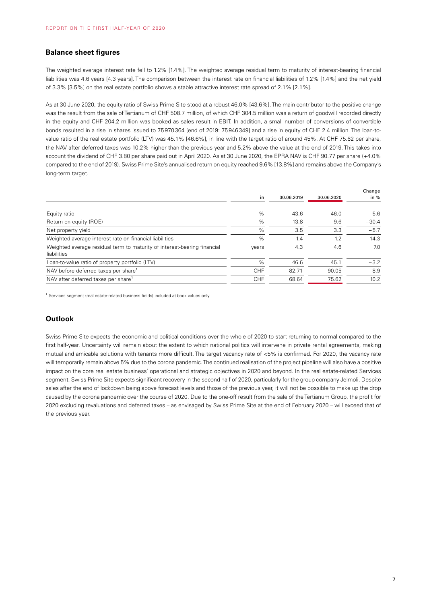#### **Balance sheet figures**

The weighted average interest rate fell to 1.2% [1.4%]. The weighted average residual term to maturity of interest-bearing financial liabilities was 4.6 years [4.3 years]. The comparison between the interest rate on financial liabilities of 1.2% [1.4%] and the net yield of 3.3% [3.5%] on the real estate portfolio shows a stable attractive interest rate spread of 2.1% [2.1%].

As at 30 June 2020, the equity ratio of Swiss Prime Site stood at a robust 46.0% [43.6%]. The main contributor to the positive change was the result from the sale of Tertianum of CHF 508.7 million, of which CHF 304.5 million was a return of goodwill recorded directly in the equity and CHF 204.2 million was booked as sales result in EBIT. In addition, a small number of conversions of convertible bonds resulted in a rise in shares issued to 75970364 [end of 2019: 75946349] and a rise in equity of CHF 2.4 million. The loan-tovalue ratio of the real estate portfolio (LTV) was 45.1% [46.6%], in line with the target ratio of around 45%. At CHF 75.62 per share, the NAV after deferred taxes was 10.2% higher than the previous year and 5.2% above the value at the end of 2019. This takes into account the dividend of CHF 3.80 per share paid out in April 2020. As at 30 June 2020, the EPRA NAV is CHF 90.77 per share (+4.0% compared to the end of 2019). Swiss Prime Site's annualised return on equity reached 9.6% [13.8%] and remains above the Company's long-term target.

|                                                                                         | in    | 30.06.2019 | 30.06.2020 | Change<br>in $%$ |
|-----------------------------------------------------------------------------------------|-------|------------|------------|------------------|
|                                                                                         |       |            |            |                  |
| Equity ratio                                                                            | %     | 43.6       | 46.0       | 5.6              |
| Return on equity (ROE)                                                                  | $\%$  | 13.8       | 9.6        | $-30.4$          |
| Net property yield                                                                      | %     | 3.5        | 3.3        | $-5.7$           |
| Weighted average interest rate on financial liabilities                                 | %     | 1.4        | 1.2        | $-14.3$          |
| Weighted average residual term to maturity of interest-bearing financial<br>liabilities | years | 4.3        | 4.6        | 7.0              |
| Loan-to-value ratio of property portfolio (LTV)                                         | %     | 46.6       | 45.1       | $-3.2$           |
| NAV before deferred taxes per share <sup>1</sup>                                        | CHF   | 82.71      | 90.05      | 8.9              |
| NAV after deferred taxes per share <sup>1</sup>                                         | CHF   | 68.64      | 75.62      | 10.2             |
|                                                                                         |       |            |            |                  |

<sup>1</sup> Services segment (real estate-related business fields) included at book values only

# **Outlook**

Swiss Prime Site expects the economic and political conditions over the whole of 2020 to start returning to normal compared to the first half-year. Uncertainty will remain about the extent to which national politics will intervene in private rental agreements, making mutual and amicable solutions with tenants more difficult. The target vacancy rate of <5% is confirmed. For 2020, the vacancy rate will temporarily remain above 5% due to the corona pandemic. The continued realisation of the project pipeline will also have a positive impact on the core real estate business' operational and strategic objectives in 2020 and beyond. In the real estate-related Services segment, Swiss Prime Site expects significant recovery in the second half of 2020, particularly for the group company Jelmoli. Despite sales after the end of lockdown being above forecast levels and those of the previous year, it will not be possible to make up the drop caused by the corona pandemic over the course of 2020. Due to the one-off result from the sale of the Tertianum Group, the profit for 2020 excluding revaluations and deferred taxes – as envisaged by Swiss Prime Site at the end of February 2020 – will exceed that of the previous year.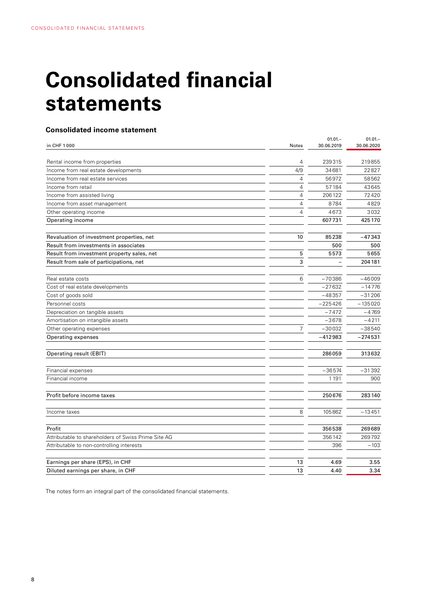# **Consolidated financial statements**

# **Consolidated income statement**

|                                                     |                | $01.01 -$  | $01.01 -$  |
|-----------------------------------------------------|----------------|------------|------------|
| in CHF 1000                                         | Notes          | 30.06.2019 | 30.06.2020 |
| Rental income from properties                       | 4              | 239315     | 219855     |
| Income from real estate developments                | 4/9            | 34681      | 22827      |
| Income from real estate services                    | 4              | 56972      | 58562      |
| Income from retail                                  | $\overline{4}$ | 57184      | 43645      |
| Income from assisted living                         | $\overline{4}$ | 206122     | 72420      |
| Income from asset management                        | $\overline{4}$ | 8784       | 4829       |
| Other operating income                              | 4              | 4673       | 3032       |
| Operating income                                    |                | 607731     | 425170     |
|                                                     |                |            |            |
| Revaluation of investment properties, net           | 10             | 85238      | $-47343$   |
| Result from investments in associates               |                | 500        | 500        |
| Result from investment property sales, net          | 5              | 5573       | 5655       |
| Result from sale of participations, net             | 3              |            | 204181     |
|                                                     |                |            |            |
| Real estate costs                                   | 6              | $-70386$   | $-46009$   |
| Cost of real estate developments                    |                | $-27632$   | $-14776$   |
| Cost of goods sold                                  |                | $-48357$   | $-31206$   |
| Personnel costs                                     |                | $-225426$  | $-135020$  |
| Depreciation on tangible assets                     |                | $-7472$    | $-4769$    |
| Amortisation on intangible assets                   |                | $-3678$    | $-4211$    |
| Other operating expenses                            | 7              | $-30032$   | $-38540$   |
| Operating expenses                                  |                | $-412983$  | $-274531$  |
| Operating result (EBIT)                             |                | 286059     | 313632     |
| Financial expenses                                  |                | $-36574$   | $-31392$   |
| Financial income                                    |                | 1191       | 900        |
| Profit before income taxes                          |                | 250676     | 283140     |
| Income taxes                                        | 8              | 105862     | $-13451$   |
| Profit                                              |                | 356538     | 269689     |
| Attributable to shareholders of Swiss Prime Site AG |                | 356142     | 269792     |
| Attributable to non-controlling interests           |                | 396        | $-103$     |
| Earnings per share (EPS), in CHF                    | 13             | 4.69       | 3.55       |
| Diluted earnings per share, in CHF                  | 13             | 4.40       | 3.34       |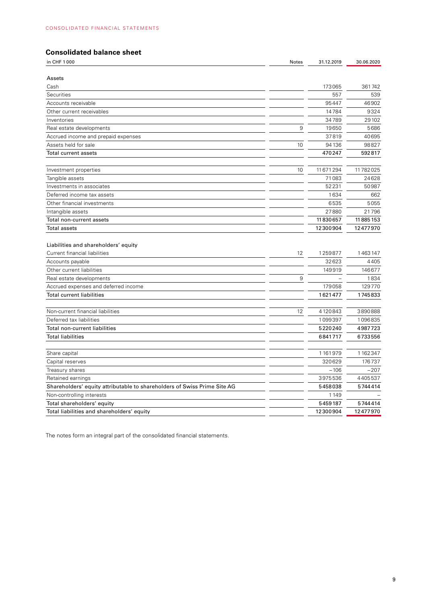# **Consolidated balance sheet**

| in CHF 1000                                                              | Notes | 31.12.2019 | 30.06.2020     |
|--------------------------------------------------------------------------|-------|------------|----------------|
|                                                                          |       |            |                |
| Assets                                                                   |       |            |                |
| Cash                                                                     |       | 173065     | 361742         |
| Securities                                                               |       | 557        | 539            |
| Accounts receivable                                                      |       | 95447      | 46902          |
| Other current receivables                                                |       | 14784      | 9324           |
| Inventories                                                              |       | 34789      | 29 10 2        |
| Real estate developments                                                 | 9     | 19650      | 5686           |
| Accrued income and prepaid expenses                                      |       | 37819      | 40695          |
| Assets held for sale                                                     | 10    | 94136      | 98827          |
| Total current assets                                                     |       | 470247     | 592817         |
| Investment properties                                                    | 10    | 11 671 294 | 11782025       |
| Tangible assets                                                          |       | 71083      | 24628          |
| Investments in associates                                                |       | 52231      | 50987          |
| Deferred income tax assets                                               |       | 1634       | 662            |
| Other financial investments                                              |       | 6535       | 5055           |
| Intangible assets                                                        |       | 27880      | 21796          |
| Total non-current assets                                                 |       | 11830657   | 11885153       |
| <b>Total assets</b>                                                      |       | 12300904   | 12477970       |
| Liabilities and shareholders' equity<br>Current financial liabilities    | 12    | 1259877    | 1463147        |
| Accounts payable                                                         |       | 32623      | 4405           |
| Other current liabilities                                                |       | 149919     | 146677         |
|                                                                          | 9     |            |                |
| Real estate developments                                                 |       | 179058     | 1834<br>129770 |
| Accrued expenses and deferred income                                     |       |            |                |
| <b>Total current liabilities</b>                                         |       | 1621477    | 1745833        |
| Non-current financial liabilities                                        | 12    | 4120843    | 3890888        |
| Deferred tax liabilities                                                 |       | 1099397    | 1096835        |
| Total non-current liabilities                                            |       | 5220240    | 4987723        |
| <b>Total liabilities</b>                                                 |       | 6841717    | 6733556        |
| Share capital                                                            |       | 1161979    | 1162347        |
| Capital reserves                                                         |       | 320629     | 176737         |
| Treasury shares                                                          |       | $-106$     | $-207$         |
| Retained earnings                                                        |       | 3975536    | 4405537        |
| Shareholders' equity attributable to shareholders of Swiss Prime Site AG |       | 5458038    | 5744414        |
| Non-controlling interests                                                |       | 1149       |                |
| Total shareholders' equity                                               |       | 5459187    | 5744414        |
| Total liabilities and shareholders' equity                               |       | 12300904   | 12477970       |
|                                                                          |       |            |                |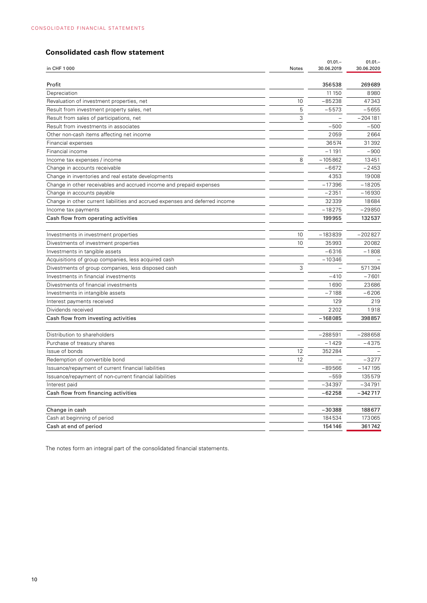# **Consolidated cash flow statement**

|                                                                              |       | $01.01 -$  | $01.01 -$  |
|------------------------------------------------------------------------------|-------|------------|------------|
| in CHF 1000                                                                  | Notes | 30.06.2019 | 30.06.2020 |
| Profit                                                                       |       | 356538     | 269689     |
| Depreciation                                                                 |       | 11 150     | 8980       |
| Revaluation of investment properties, net                                    | 10    | $-85238$   | 47343      |
| Result from investment property sales, net                                   | 5     | $-5573$    | $-5655$    |
| Result from sales of participations, net                                     | 3     |            | $-204181$  |
| Result from investments in associates                                        |       | $-500$     | $-500$     |
| Other non-cash items affecting net income                                    |       | 2059       | 2664       |
| Financial expenses                                                           |       | 36574      | 31392      |
| Financial income                                                             |       | $-1191$    | $-900$     |
| Income tax expenses / income                                                 | 8     | $-105862$  | 13451      |
| Change in accounts receivable                                                |       | $-6672$    | $-2453$    |
| Change in inventories and real estate developments                           |       | 4353       | 19008      |
| Change in other receivables and accrued income and prepaid expenses          |       | $-17396$   | $-18205$   |
| Change in accounts payable                                                   |       | $-2351$    | $-16930$   |
| Change in other current liabilities and accrued expenses and deferred income |       | 32339      | 18684      |
| Income tax payments                                                          |       | $-18275$   | $-29850$   |
| Cash flow from operating activities                                          |       | 199955     | 132537     |
|                                                                              |       |            |            |
| Investments in investment properties                                         | 10    | $-183839$  | $-202827$  |
| Divestments of investment properties                                         | 10    | 35993      | 20082      |
| Investments in tangible assets                                               |       | $-6316$    | $-1808$    |
| Acquisitions of group companies, less acquired cash                          |       | $-10346$   |            |
| Divestments of group companies, less disposed cash                           | 3     |            | 571394     |
| Investments in financial investments                                         |       | $-410$     | $-7601$    |
| Divestments of financial investments                                         |       | 1690       | 23686      |
| Investments in intangible assets                                             |       | -7188      | $-6206$    |
| Interest payments received                                                   |       | 129        | 219        |
| Dividends received                                                           |       | 2202       | 1918       |
| Cash flow from investing activities                                          |       | $-168085$  | 398857     |
|                                                                              |       |            |            |
| Distribution to shareholders                                                 |       | $-288591$  | $-288658$  |
| Purchase of treasury shares                                                  |       | $-1429$    | $-4375$    |
| Issue of bonds                                                               | 12    | 352284     |            |
| Redemption of convertible bond                                               | 12    |            | $-3277$    |
| Issuance/repayment of current financial liabilities                          |       | $-89566$   | $-147195$  |
| Issuance/repayment of non-current financial liabilities                      |       | $-559$     | 135579     |
| Interest paid                                                                |       | $-34397$   | $-34791$   |
| Cash flow from financing activities                                          |       | $-62258$   | $-342717$  |
|                                                                              |       |            |            |
| Change in cash                                                               |       | $-30388$   | 188677     |
| Cash at beginning of period                                                  |       | 184534     | 173065     |
| Cash at end of period                                                        |       | 154146     | 361742     |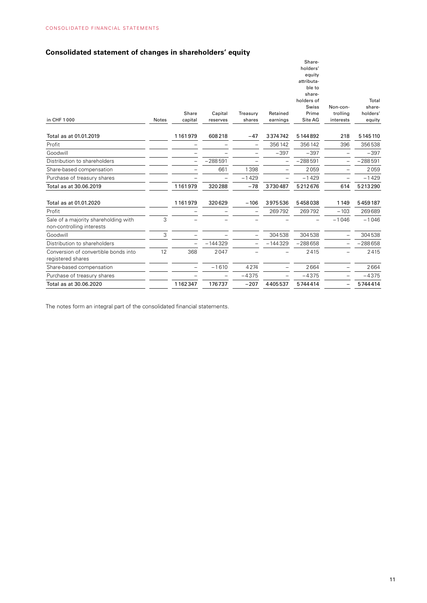# **Consolidated statement of changes in shareholders' equity**

|                                                                   |              |         |           |          |           | Share-<br>holders'  |                          |                 |
|-------------------------------------------------------------------|--------------|---------|-----------|----------|-----------|---------------------|--------------------------|-----------------|
|                                                                   |              |         |           |          |           | equity              |                          |                 |
|                                                                   |              |         |           |          |           | attributa-          |                          |                 |
|                                                                   |              |         |           |          |           | ble to              |                          |                 |
|                                                                   |              |         |           |          |           | share-              |                          |                 |
|                                                                   |              |         |           |          |           | holders of<br>Swiss | Non-con-                 | Total<br>share- |
|                                                                   |              | Share   | Capital   | Treasury | Retained  | Prime               | trolling                 | holders'        |
| in CHF 1000                                                       | <b>Notes</b> | capital | reserves  | shares   | earnings  | Site AG             | interests                | equity          |
| Total as at 01.01.2019                                            |              | 1161979 | 608218    | $-47$    | 3374742   | 5144892             | 218                      | 5 145 110       |
|                                                                   |              |         |           |          |           |                     |                          |                 |
| Profit                                                            |              |         |           |          | 356142    | 356142              | 396                      | 356538          |
| Goodwill                                                          |              |         |           |          | $-397$    | $-397$              |                          | $-397$          |
| Distribution to shareholders                                      |              |         | $-288591$ |          |           | $-288591$           |                          | $-288591$       |
| Share-based compensation                                          |              |         | 661       | 1398     |           | 2059                |                          | 2059            |
| Purchase of treasury shares                                       |              |         |           | $-1429$  |           | $-1429$             |                          | $-1429$         |
| Total as at 30.06.2019                                            |              | 1161979 | 320288    | $-78$    | 3730487   | 5212676             | 614                      | 5213290         |
| Total as at 01.01.2020                                            |              | 1161979 | 320629    | $-106$   | 3975536   | 5458038             | 1149                     | 5459187         |
| Profit                                                            |              |         |           |          | 269792    | 269792              | $-103$                   | 269689          |
| Sale of a majority shareholding with<br>non-controlling interests | 3            |         |           |          |           |                     | $-1046$                  | $-1046$         |
| Goodwill                                                          | 3            |         |           |          | 304538    | 304538              |                          | 304538          |
| Distribution to shareholders                                      |              |         | $-144329$ |          | $-144329$ | $-288658$           |                          | $-288658$       |
| Conversion of convertible bonds into                              | 12           | 368     | 2047      |          |           | 2415                |                          | 2415            |
| registered shares                                                 |              |         |           |          |           |                     |                          |                 |
| Share-based compensation                                          |              |         | $-1610$   | 4274     |           | 2664                |                          | 2664            |
| Purchase of treasury shares                                       |              |         |           | $-4375$  |           | $-4375$             |                          | $-4375$         |
| Total as at 30.06.2020                                            |              | 1162347 | 176737    | $-207$   | 4405537   | 5744414             | $\overline{\phantom{0}}$ | 5744414         |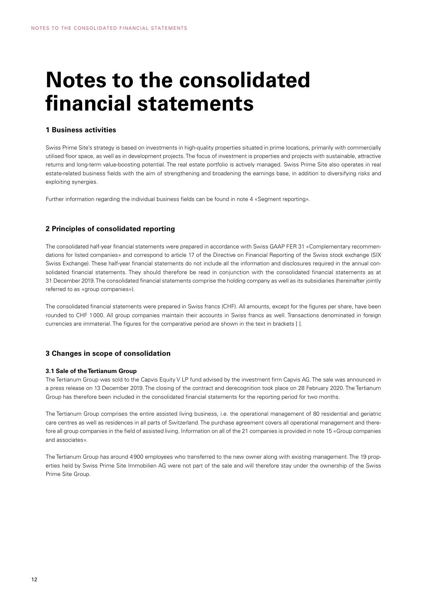# **Notes to the consolidated financial statements**

### **1 Business activities**

Swiss Prime Site's strategy is based on investments in high-quality properties situated in prime locations, primarily with commercially utilised floor space, as well as in development projects. The focus of investment is properties and projects with sustainable, attractive returns and long-term value-boosting potential. The real estate portfolio is actively managed. Swiss Prime Site also operates in real estate-related business fields with the aim of strengthening and broadening the earnings base, in addition to diversifying risks and exploiting synergies.

Further information regarding the individual business fields can be found in note 4 «Segment reporting».

#### **2 Principles of consolidated reporting**

The consolidated half-year financial statements were prepared in accordance with Swiss GAAP FER 31 «Complementary recommendations for listed companies» and correspond to article 17 of the Directive on Financial Reporting of the Swiss stock exchange (SIX Swiss Exchange). These half-year financial statements do not include all the information and disclosures required in the annual consolidated financial statements. They should therefore be read in conjunction with the consolidated financial statements as at 31 December 2019. The consolidated financial statements comprise the holding company as well as its subsidiaries (hereinafter jointly referred to as «group companies»).

The consolidated financial statements were prepared in Swiss francs (CHF). All amounts, except for the figures per share, have been rounded to CHF 1000. All group companies maintain their accounts in Swiss francs as well. Transactions denominated in foreign currencies are immaterial. The figures for the comparative period are shown in the text in brackets [ ].

#### **3 Changes in scope of consolidation**

#### **3.1 Sale of the Tertianum Group**

The Tertianum Group was sold to the Capvis Equity V LP fund advised by the investment firm Capvis AG. The sale was announced in a press release on 13 December 2019. The closing of the contract and derecognition took place on 28 February 2020. The Tertianum Group has therefore been included in the consolidated financial statements for the reporting period for two months.

The Tertianum Group comprises the entire assisted living business, i.e. the operational management of 80 residential and geriatric care centres as well as residences in all parts of Switzerland. The purchase agreement covers all operational management and therefore all group companies in the field of assisted living. Information on all of the 21 companies is provided in note 15 «Group companies and associates».

The Tertianum Group has around 4900 employees who transferred to the new owner along with existing management. The 19 properties held by Swiss Prime Site Immobilien AG were not part of the sale and will therefore stay under the ownership of the Swiss Prime Site Group.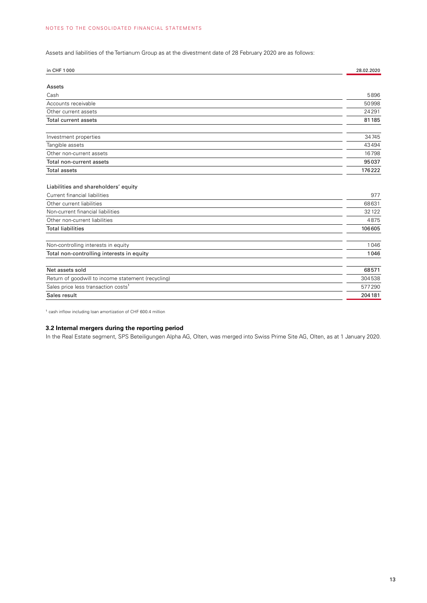Assets and liabilities of the Tertianum Group as at the divestment date of 28 February 2020 are as follows:

| in CHF 1000                                        | 28.02.2020 |
|----------------------------------------------------|------------|
| Assets                                             |            |
| Cash                                               | 5896       |
| Accounts receivable                                | 50998      |
| Other current assets                               | 24291      |
| <b>Total current assets</b>                        | 81185      |
| Investment properties                              | 34745      |
| Tangible assets                                    | 43494      |
| Other non-current assets                           | 16798      |
| Total non-current assets                           | 95037      |
| <b>Total assets</b>                                | 176222     |
| Liabilities and shareholders' equity               |            |
| Current financial liabilities                      | 977        |
| Other current liabilities                          | 68631      |
| Non-current financial liabilities                  | 32122      |
| Other non-current liabilities                      | 4875       |
| <b>Total liabilities</b>                           | 106605     |
| Non-controlling interests in equity                | 1046       |
| Total non-controlling interests in equity          | 1046       |
| Net assets sold                                    | 68571      |
| Return of goodwill to income statement (recycling) | 304538     |
| Sales price less transaction costs <sup>1</sup>    | 577290     |
| Sales result                                       | 204181     |

<sup>1</sup> cash inflow including loan amortization of CHF 600.4 million

# **3.2 Internal mergers during the reporting period**

In the Real Estate segment, SPS Beteiligungen Alpha AG, Olten, was merged into Swiss Prime Site AG, Olten, as at 1 January 2020.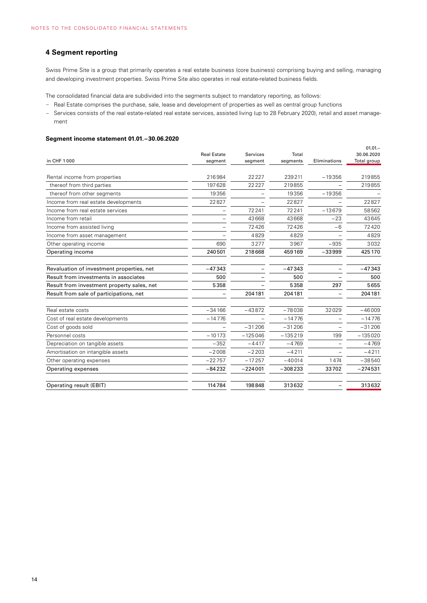# **4 Segment reporting**

Swiss Prime Site is a group that primarily operates a real estate business (core business) comprising buying and selling, managing and developing investment properties. Swiss Prime Site also operates in real estate-related business fields.

The consolidated financial data are subdivided into the segments subject to mandatory reporting, as follows:

- Real Estate comprises the purchase, sale, lease and development of properties as well as central group functions
- Services consists of the real estate-related real estate services, assisted living (up to 28 February 2020), retail and asset management

#### **Segment income statement 01.01.–30.06.2020**

| in CHF 1000                                | <b>Real Estate</b><br>segment | Services<br>segment | Total<br>segments | Eliminations | $01.01 -$<br>30.06.2020<br>Total group |
|--------------------------------------------|-------------------------------|---------------------|-------------------|--------------|----------------------------------------|
| Rental income from properties              | 216984                        | 22227               | 239211            | $-19356$     | 219855                                 |
| thereof from third parties                 | 197628                        | 22227               | 219855            |              | 219855                                 |
| thereof from other segments                | 19356                         |                     | 19356             | $-19356$     |                                        |
| Income from real estate developments       | 22827                         |                     | 22827             |              | 22827                                  |
| Income from real estate services           |                               | 72241               | 72241             | $-13679$     | 58562                                  |
| Income from retail                         |                               | 43668               | 43668             | $-23$        | 43645                                  |
| Income from assisted living                |                               | 72426               | 72426             | $-6$         | 72420                                  |
| Income from asset management               |                               | 4829                | 4829              |              | 4829                                   |
| Other operating income                     | 690                           | 3277                | 3967              | $-935$       | 3032                                   |
| Operating income                           | 240501                        | 218668              | 459169            | $-33999$     | 425170                                 |
|                                            |                               |                     |                   |              |                                        |
| Revaluation of investment properties, net  | $-47343$                      |                     | $-47343$          |              | $-47343$                               |
| Result from investments in associates      | 500                           |                     | 500               |              | 500                                    |
| Result from investment property sales, net | 5358                          |                     | 5358              | 297          | 5655                                   |
| Result from sale of participations, net    |                               | 204181              | 204181            |              | 204181                                 |
|                                            |                               |                     |                   |              |                                        |
| Real estate costs                          | $-34166$                      | $-43872$            | $-78038$          | 32029        | $-46009$                               |
| Cost of real estate developments           | $-14776$                      |                     | $-14776$          |              | $-14776$                               |
| Cost of goods sold                         |                               | $-31206$            | $-31206$          |              | $-31206$                               |
| Personnel costs                            | $-10173$                      | $-125046$           | $-135219$         | 199          | $-135020$                              |
| Depreciation on tangible assets            | $-352$                        | $-4417$             | $-4769$           |              | $-4769$                                |
| Amortisation on intangible assets          | $-2008$                       | $-2203$             | $-4211$           |              | $-4211$                                |
| Other operating expenses                   | $-22757$                      | $-17257$            | $-40014$          | 1474         | $-38540$                               |
| Operating expenses                         | $-84232$                      | $-224001$           | $-308233$         | 33702        | $-274531$                              |
| Operating result (EBIT)                    | 114784                        | 198848              | 313632            |              | 313632                                 |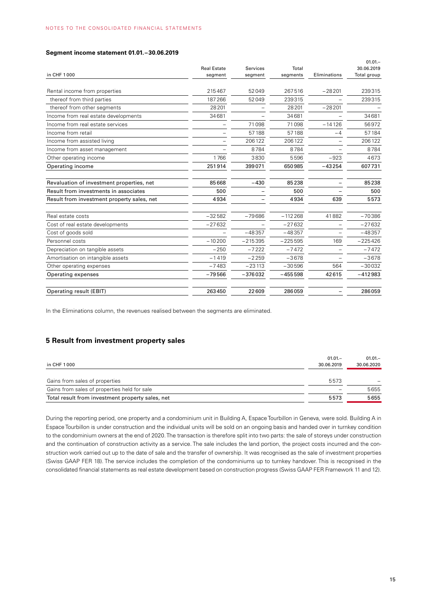#### **Segment income statement 01.01.–30.06.2019**

|          |                               |                     |                   | $01.01 -$                 |
|----------|-------------------------------|---------------------|-------------------|---------------------------|
|          |                               |                     |                   | 30.06.2019<br>Total group |
|          |                               |                     |                   |                           |
| 215467   | 52049                         | 267516              | $-28201$          | 239315                    |
| 187266   | 52049                         | 239315              |                   | 239315                    |
| 28201    |                               | 28201               | $-28201$          |                           |
| 34681    |                               | 34681               |                   | 34681                     |
|          | 71098                         | 71098               | $-14126$          | 56972                     |
|          | 57188                         | 57188               | $-4$              | 57184                     |
|          | 206122                        | 206122              |                   | 206122                    |
|          | 8784                          | 8784                |                   | 8784                      |
| 1766     | 3830                          | 5596                | $-923$            | 4673                      |
| 251914   | 399071                        | 650985              | $-43254$          | 607731                    |
| 85668    | $-430$                        | 85238               |                   | 85238                     |
| 500      |                               | 500                 |                   | 500                       |
| 4934     |                               | 4934                | 639               | 5573                      |
| $-32582$ | $-79686$                      | $-112268$           | 41882             | $-70386$                  |
| $-27632$ |                               | $-27632$            |                   | $-27632$                  |
|          | $-48357$                      | $-48357$            |                   | $-48357$                  |
| $-10200$ | $-215395$                     | $-225595$           | 169               | $-225426$                 |
| $-250$   | $-7222$                       | $-7472$             |                   | $-7472$                   |
| $-1419$  | $-2259$                       | $-3678$             |                   | $-3678$                   |
| $-7483$  | $-23113$                      | $-30596$            | 564               | $-30032$                  |
| $-79566$ | $-376032$                     | $-455598$           | 42615             | $-412983$                 |
| 263450   | 22609                         | 286059              |                   | 286059                    |
|          | <b>Real Estate</b><br>segment | Services<br>segment | Total<br>segments | Eliminations              |

In the Eliminations column, the revenues realised between the segments are eliminated.

### **5 Result from investment property sales**

|                                                  | $01.01 -$                | $01.01 -$  |
|--------------------------------------------------|--------------------------|------------|
| in CHF 1000                                      | 30.06.2019               | 30.06.2020 |
|                                                  |                          |            |
| Gains from sales of properties                   | 5573                     |            |
| Gains from sales of properties held for sale     | $\overline{\phantom{0}}$ | 5655       |
| Total result from investment property sales, net | 5573                     | 5655       |

During the reporting period, one property and a condominium unit in Building A, Espace Tourbillon in Geneva, were sold. Building A in Espace Tourbillon is under construction and the individual units will be sold on an ongoing basis and handed over in turnkey condition to the condominium owners at the end of 2020. The transaction is therefore split into two parts: the sale of storeys under construction and the continuation of construction activity as a service. The sale includes the land portion, the project costs incurred and the construction work carried out up to the date of sale and the transfer of ownership. It was recognised as the sale of investment properties (Swiss GAAP FER 18). The service includes the completion of the condominiums up to turnkey handover. This is recognised in the consolidated financial statements as real estate development based on construction progress (Swiss GAAP FER Framework 11 and 12).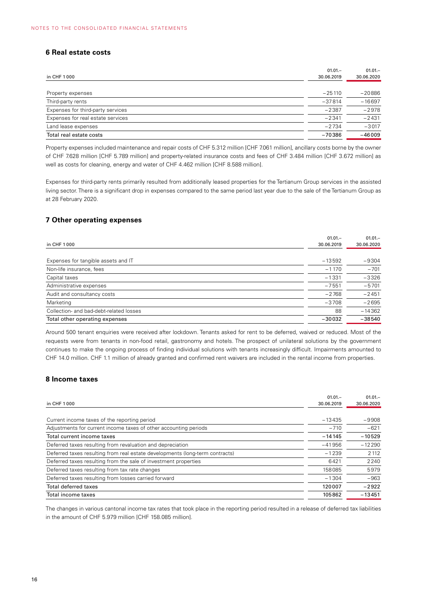# **6 Real estate costs**

| in CHF 1000                       | $01.01 -$<br>30.06.2019 | $01.01 -$<br>30.06.2020 |
|-----------------------------------|-------------------------|-------------------------|
|                                   |                         |                         |
| Property expenses                 | $-25110$                | $-20886$                |
| Third-party rents                 | $-37814$                | $-16697$                |
| Expenses for third-party services | $-2387$                 | $-2978$                 |
| Expenses for real estate services | $-2341$                 | $-2431$                 |
| Land lease expenses               | $-2734$                 | $-3017$                 |
| Total real estate costs           | $-70386$                | $-46009$                |

Property expenses included maintenance and repair costs of CHF 5.312 million [CHF 7.061 million], ancillary costs borne by the owner of CHF 7.628 million [CHF 5.789 million] and property-related insurance costs and fees of CHF 3.484 million [CHF 3.672 million] as well as costs for cleaning, energy and water of CHF 4.462 million [CHF 8.588 million].

Expenses for third-party rents primarily resulted from additionally leased properties for the Tertianum Group services in the assisted living sector. There is a significant drop in expenses compared to the same period last year due to the sale of the Tertianum Group as at 28 February 2020.

# **7 Other operating expenses**

|                                         | $01.01 -$  | $01.01 -$  |
|-----------------------------------------|------------|------------|
| in CHF 1000                             | 30.06.2019 | 30.06.2020 |
|                                         |            |            |
| Expenses for tangible assets and IT     | $-13592$   | $-9304$    |
| Non-life insurance, fees                | $-1170$    | $-701$     |
| Capital taxes                           | $-1331$    | $-3326$    |
| Administrative expenses                 | $-7551$    | $-5701$    |
| Audit and consultancy costs             | $-2768$    | $-2451$    |
| Marketing                               | $-3708$    | $-2695$    |
| Collection- and bad-debt-related losses | 88         | $-14362$   |
| Total other operating expenses          | $-30032$   | $-38540$   |

Around 500 tenant enquiries were received after lockdown. Tenants asked for rent to be deferred, waived or reduced. Most of the requests were from tenants in non-food retail, gastronomy and hotels. The prospect of unilateral solutions by the government continues to make the ongoing process of finding individual solutions with tenants increasingly difficult. Impairments amounted to CHF 14.0 million. CHF 1.1 million of already granted and confirmed rent waivers are included in the rental income from properties.

#### **8 Income taxes**

| Current income taxes of the reporting period                                 | $-13435$ | $-9908$  |
|------------------------------------------------------------------------------|----------|----------|
| Adjustments for current income taxes of other accounting periods             | $-710$   | $-621$   |
| Total current income taxes                                                   | $-14145$ | $-10529$ |
| Deferred taxes resulting from revaluation and depreciation                   | $-41956$ | $-12290$ |
| Deferred taxes resulting from real estate developments (long-term contracts) | $-1239$  | 2 1 1 2  |
| Deferred taxes resulting from the sale of investment properties              | 6421     | 2240     |
| Deferred taxes resulting from tax rate changes                               | 158085   | 5979     |
| Deferred taxes resulting from losses carried forward                         | $-1304$  | $-963$   |
| <b>Total deferred taxes</b>                                                  | 120007   | $-2922$  |
| Total income taxes                                                           | 105862   | $-13451$ |

The changes in various cantonal income tax rates that took place in the reporting period resulted in a release of deferred tax liabilities in the amount of CHF 5.979 million [CHF 158.085 million].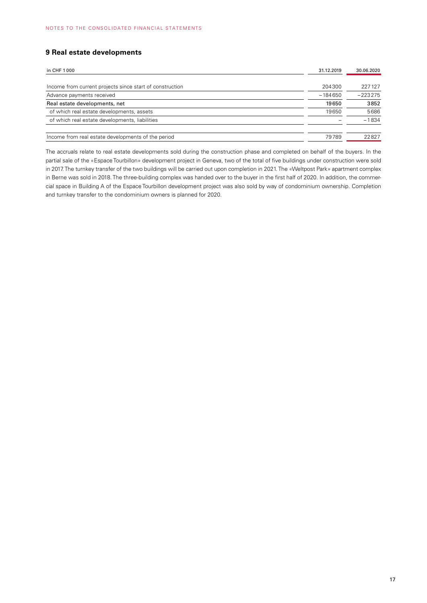# **9 Real estate developments**

| in CHF 1000                                              |        | 30.06.2020 |  |
|----------------------------------------------------------|--------|------------|--|
|                                                          |        |            |  |
| Income from current projects since start of construction | 204300 | 227127     |  |
| Advance payments received                                |        | $-223275$  |  |
| Real estate developments, net                            |        | 3852       |  |
| of which real estate developments, assets                | 19650  | 5686       |  |
| of which real estate developments, liabilities           |        | $-1834$    |  |
|                                                          |        |            |  |
| Income from real estate developments of the period       | 79789  | 22827      |  |

The accruals relate to real estate developments sold during the construction phase and completed on behalf of the buyers. In the partial sale of the «Espace Tourbillon» development project in Geneva, two of the total of five buildings under construction were sold in 2017. The turnkey transfer of the two buildings will be carried out upon completion in 2021. The «Weltpost Park» apartment complex in Berne was sold in 2018. The three-building complex was handed over to the buyer in the first half of 2020. In addition, the commercial space in Building A of the Espace Tourbillon development project was also sold by way of condominium ownership. Completion and turnkey transfer to the condominium owners is planned for 2020.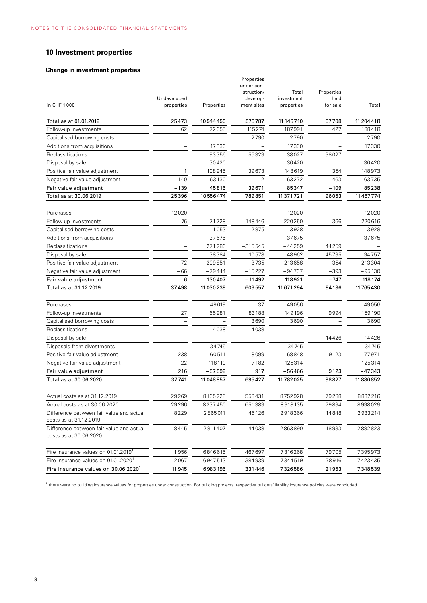# **10 Investment properties**

#### **Change in investment properties**

| in CHF 1000                                                        | Undeveloped<br>properties | Properties | Properties<br>under con-<br>struction/<br>develop-<br>ment sites | Total<br>investment<br>properties | Properties<br>held<br>for sale | Total      |
|--------------------------------------------------------------------|---------------------------|------------|------------------------------------------------------------------|-----------------------------------|--------------------------------|------------|
| Total as at 01.01.2019                                             | 25473                     | 10544450   | 576787                                                           | 11 146 710                        | 57708                          | 11 204 418 |
| Follow-up investments                                              | 62                        | 72655      | 115274                                                           | 187991                            | 427                            | 188418     |
| Capitalised borrowing costs                                        |                           |            | 2790                                                             | 2790                              |                                | 2790       |
| Additions from acquisitions                                        |                           | 17330      |                                                                  | 17330                             |                                | 17330      |
| Reclassifications                                                  |                           | -93356     | 55329                                                            | $-38027$                          | 38027                          |            |
| Disposal by sale                                                   |                           | $-30420$   |                                                                  | $-30420$                          |                                | $-30420$   |
| Positive fair value adjustment                                     |                           | 108945     | 39673                                                            | 148619                            | 354                            | 148973     |
| Negative fair value adjustment                                     | $-140$                    | $-63130$   | $-2$                                                             | $-63272$                          | $-463$                         | $-63735$   |
| Fair value adjustment                                              | $-139$                    | 45815      | 39671                                                            | 85347                             | $-109$                         | 85238      |
| Total as at 30.06.2019                                             | 25396                     | 10556474   | 789851                                                           | 11371721                          | 96053                          | 11 467 774 |
| Purchases                                                          | 12020                     |            |                                                                  | 12020                             |                                | 12020      |
| Follow-up investments                                              | 76                        | 71728      | 148446                                                           | 220250                            | 366                            | 220616     |
| Capitalised borrowing costs                                        |                           | 1053       | 2875                                                             | 3928                              |                                | 3928       |
| Additions from acquisitions                                        |                           | 37675      |                                                                  | 37675                             |                                | 37675      |
| Reclassifications                                                  |                           | 271286     | $-315545$                                                        | $-44259$                          | 44259                          |            |
| Disposal by sale                                                   |                           | $-38384$   | $-10578$                                                         | $-48962$                          | $-45795$                       | $-94757$   |
| Positive fair value adjustment                                     | 72                        | 209851     | 3735                                                             | 213658                            | $-354$                         | 213304     |
| Negative fair value adjustment                                     | $-66$                     | $-79444$   | $-15227$                                                         | $-94737$                          | $-393$                         | $-95130$   |
| Fair value adjustment                                              | 6                         | 130407     | $-11492$                                                         | 118921                            | $-747$                         | 118174     |
| Total as at 31.12.2019                                             | 37498                     | 11 030 239 | 603557                                                           | 11 671 294                        | 94136                          | 11765430   |
| Purchases                                                          |                           | 49019      | 37                                                               | 49056                             |                                | 49056      |
| Follow-up investments                                              | 27                        | 65981      | 83188                                                            | 149196                            | 9994                           | 159190     |
| Capitalised borrowing costs                                        |                           |            | 3690                                                             | 3690                              |                                | 3690       |
| Reclassifications                                                  |                           | $-4038$    | 4038                                                             |                                   |                                |            |
| Disposal by sale                                                   |                           |            |                                                                  |                                   | $-14426$                       | $-14426$   |
| Disposals from divestments                                         |                           | $-34745$   |                                                                  | -34745                            |                                | $-34745$   |
| Positive fair value adjustment                                     | 238                       | 60511      | 8099                                                             | 68848                             | 9123                           | 77971      |
| Negative fair value adjustment                                     | $-22$                     | $-118110$  | $-7182$                                                          | $-125314$                         |                                | $-125314$  |
| Fair value adjustment                                              | 216                       | $-57599$   | 917                                                              | $-56466$                          | 9123                           | $-47343$   |
| Total as at 30.06.2020                                             | 37741                     | 11 048 857 | 695427                                                           | 11782025                          | 98827                          | 11880852   |
| Actual costs as at 31.12.2019                                      | 29 269                    | 8165228    | 558431                                                           | 8752928                           | 79288                          | 8832216    |
| Actual costs as at 30.06.2020                                      | 29296                     | 8237450    | 651389                                                           | 8918135                           | 79894                          | 8998029    |
| Difference between fair value and actual<br>costs as at 31.12.2019 | 8229                      | 2865011    | 45126                                                            | 2918366                           | 14848                          | 2933214    |
| Difference between fair value and actual<br>costs as at 30.06.2020 | 8445                      | 2811407    | 44038                                                            | 2863890                           | 18933                          | 2882823    |
| Fire insurance values on 01.01.2019                                | 1956                      | 6846615    | 467697                                                           | 7316268                           | 79705                          | 7395973    |
| Fire insurance values on 01.01.2020 <sup>1</sup>                   | 12067                     | 6947513    | 384939                                                           | 7344519                           | 78916                          | 7423435    |
| Fire insurance values on 30.06.2020 <sup>1</sup>                   | 11945                     | 6983195    | 331446                                                           | 7326586                           | 21953                          | 7348539    |

<sup>1</sup> there were no building insurance values for properties under construction. For building projects, respective builders' liability insurance policies were concluded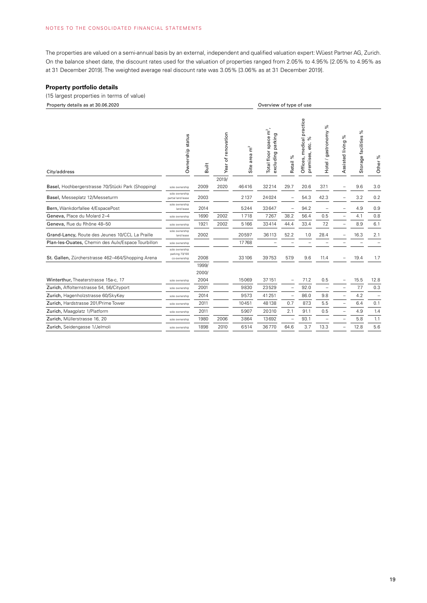The properties are valued on a semi-annual basis by an external, independent and qualified valuation expert: Wüest Partner AG, Zurich. On the balance sheet date, the discount rates used for the valuation of properties ranged from 2.05% to 4.95% [2.05% to 4.95% as at 31 December 2019]. The weighted average real discount rate was 3.05% [3.06% as at 31 December 2019].

#### **Property portfolio details**

#### (15 largest properties in terms of value)

| Property details as at 30.06.2020                  |                                                  |               | Overview of type of use |                                   |                                                            |                          |                                                      |                          |                          |                          |                    |
|----------------------------------------------------|--------------------------------------------------|---------------|-------------------------|-----------------------------------|------------------------------------------------------------|--------------------------|------------------------------------------------------|--------------------------|--------------------------|--------------------------|--------------------|
| City/address                                       | Ownership status                                 | Built         | Year of renovation      | $\tilde{\mathbf{E}}$<br>Site area | Total floor space m <sup>2</sup> ,<br>parking<br>excluding | Retail %                 | Offices, medical practice<br>వ్<br>etc.<br>premises, | Hotel / gastronomy %     | వి<br>Assisted living    | వ్<br>Storage facilities | Other <sup>%</sup> |
|                                                    |                                                  |               | 2019/                   |                                   |                                                            |                          |                                                      |                          |                          |                          |                    |
| Basel, Hochbergerstrasse 70/Stücki Park (Shopping) | sole ownership                                   | 2009          | 2020                    | 46416                             | 32214                                                      | 29.7                     | 20.6                                                 | 37.1                     |                          | 9.6                      | 3.0                |
| Basel, Messeplatz 12/Messeturm                     | sole ownership<br>partial land lease             | 2003          |                         | 2137                              | 24024                                                      |                          | 54.3                                                 | 42.3                     |                          | 3.2                      | 0.2                |
| Bern, Wankdorfallee 4/EspacePost                   | sole ownership<br>land lease                     | 2014          |                         | 5244                              | 33647                                                      | $\overline{\phantom{0}}$ | 94.2                                                 |                          |                          | 4.9                      | 0.9                |
| Geneva, Place du Molard 2-4                        | sole ownership                                   | 1690          | 2002                    | 1718                              | 7267                                                       | 38.2                     | 56.4                                                 | 0.5                      |                          | 4.1                      | 0.8                |
| Geneva, Rue du Rhône 48-50                         | sole ownership                                   | 1921          | 2002                    | 5166                              | 33414                                                      | 44.4                     | 33.4                                                 | 7.2                      | $\overline{a}$           | 8.9                      | 6.1                |
| Grand-Lancy, Route des Jeunes 10/CCL La Praille    | sole ownership<br>land lease                     | 2002          |                         | 20597                             | 36113                                                      | 52.2                     | 1.0                                                  | 28.4                     |                          | 16.3                     | 2.1                |
| Plan-les-Ouates, Chemin des Aulx/Espace Tourbillon | sole ownership                                   |               |                         | 17768                             |                                                            |                          |                                                      |                          |                          |                          |                    |
| St. Gallen, Zürcherstrasse 462-464/Shopping Arena  | sole ownership<br>parking 73/100<br>co-ownership | 2008<br>1999/ |                         | 33 106                            | 39753                                                      | 57.9                     | 9.6                                                  | 11.4                     | $\overline{\phantom{0}}$ | 19.4                     | 1.7                |
|                                                    |                                                  | 2000/         |                         |                                   |                                                            |                          |                                                      |                          |                          |                          |                    |
| Winterthur, Theaterstrasse 15a-c, 17               | sole ownership                                   | 2004          |                         | 15069                             | 37151                                                      | $\overline{\phantom{0}}$ | 71.2                                                 | 0.5                      |                          | 15.5                     | 12.8               |
| Zurich, Affolternstrasse 54, 56/Cityport           | sole ownership                                   | 2001          |                         | 9830                              | 23529                                                      | $\overline{\phantom{0}}$ | 92.0                                                 | $\overline{\phantom{0}}$ |                          | 7.7                      | 0.3                |
| Zurich, Hagenholzstrasse 60/SkyKey                 | sole ownership                                   | 2014          |                         | 9573                              | 41251                                                      | $\overline{a}$           | 86.0                                                 | 9.8                      |                          | 4.2                      | $\qquad \qquad -$  |
| Zurich, Hardstrasse 201/Prime Tower                | sole ownership                                   | 2011          |                         | 10451                             | 48138                                                      | 0.7                      | 87.3                                                 | 5.5                      |                          | 6.4                      | 0.1                |
| Zurich, Maagplatz 1/Platform                       | sole ownership                                   | 2011          |                         | 5907                              | 20310                                                      | 2.1                      | 91.1                                                 | 0.5                      | $\overline{\phantom{0}}$ | 4.9                      | 1.4                |
| Zurich, Müllerstrasse 16, 20                       | sole ownership                                   | 1980          | 2006                    | 3864                              | 13692                                                      |                          | 93.1                                                 |                          |                          | 5.8                      | 1.1                |
| Zurich, Seidengasse 1/Jelmoli                      | sole ownership                                   | 1898          | 2010                    | 6514                              | 36770                                                      | 64.6                     | 3.7                                                  | 13.3                     |                          | 12.8                     | 5.6                |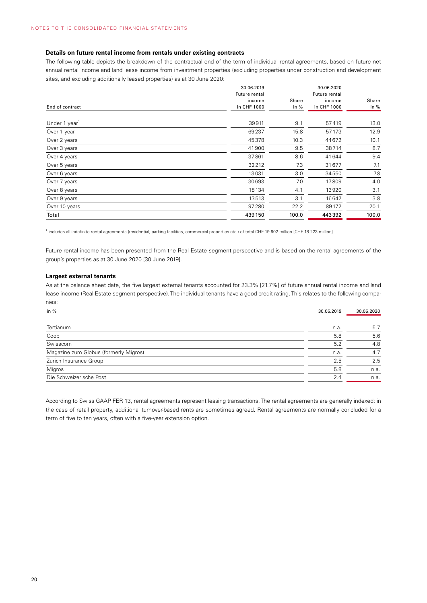#### **Details on future rental income from rentals under existing contracts**

The following table depicts the breakdown of the contractual end of the term of individual rental agreements, based on future net annual rental income and land lease income from investment properties (excluding properties under construction and development sites, and excluding additionally leased properties) as at 30 June 2020:

|                           | 30.06.2019<br>Future rental |        | 30.06.2020<br>Future rental |       |
|---------------------------|-----------------------------|--------|-----------------------------|-------|
|                           | income                      | Share  | income                      | Share |
| End of contract           | in CHF 1000                 | in $%$ | in CHF 1000                 | in %  |
|                           |                             |        |                             |       |
| Under 1 year <sup>1</sup> | 39911                       | 9.1    | 57419                       | 13.0  |
| Over 1 year               | 69237                       | 15.8   | 57 173                      | 12.9  |
| Over 2 years              | 45378                       | 10.3   | 44672                       | 10.1  |
| Over 3 years              | 41900                       | 9.5    | 38714                       | 8.7   |
| Over 4 years              | 37861                       | 8.6    | 41644                       | 9.4   |
| Over 5 years              | 32212                       | 7.3    | 31677                       | 7.1   |
| Over 6 years              | 13031                       | 3.0    | 34550                       | 7.8   |
| Over 7 years              | 30693                       | 7.0    | 17809                       | 4.0   |
| Over 8 years              | 18134                       | 4.1    | 13920                       | 3.1   |
| Over 9 years              | 13513                       | 3.1    | 16642                       | 3.8   |
| Over 10 years             | 97280                       | 22.2   | 89172                       | 20.1  |
| Total                     | 439150                      | 100.0  | 443392                      | 100.0 |

<sup>1</sup> includes all indefinite rental agreements (residential, parking facilities, commercial properties etc.) of total CHF 19.902 million [CHF 18.223 million]

Future rental income has been presented from the Real Estate segment perspective and is based on the rental agreements of the group's properties as at 30 June 2020 [30 June 2019].

#### **Largest external tenants**

As at the balance sheet date, the five largest external tenants accounted for 23.3% [21.7%] of future annual rental income and land lease income (Real Estate segment perspective). The individual tenants have a good credit rating. This relates to the following companies:

| in %                                  | 30.06.2019 | 30.06.2020 |
|---------------------------------------|------------|------------|
| Tertianum                             | n.a.       | 5.7        |
| Coop                                  | 5.8        | 5.6        |
| Swisscom                              |            | 4.8        |
| Magazine zum Globus (formerly Migros) | n.a.       | 4.7        |
| Zurich Insurance Group                | 2.5        | 2.5        |
| Migros                                | 5.8        | n.a.       |
| Die Schweizerische Post               | 2.4        | n.a.       |

According to Swiss GAAP FER 13, rental agreements represent leasing transactions. The rental agreements are generally indexed; in the case of retail property, additional turnover-based rents are sometimes agreed. Rental agreements are normally concluded for a term of five to ten years, often with a five-year extension option.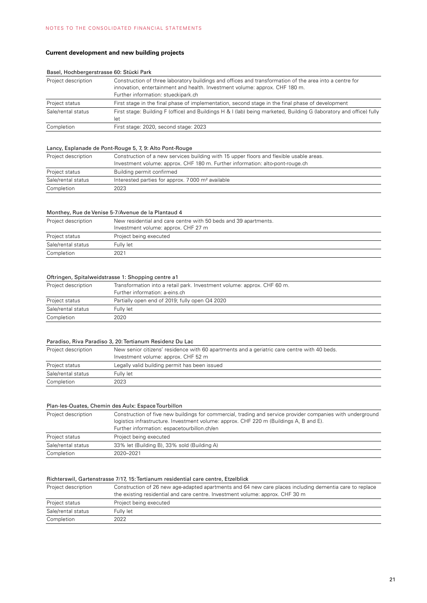# **Current development and new building projects**

| Project description | Construction of three laboratory buildings and offices and transformation of the area into a centre for<br>innovation, entertainment and health. Investment volume: approx. CHF 180 m.<br>Further information: stueckipark.ch |
|---------------------|-------------------------------------------------------------------------------------------------------------------------------------------------------------------------------------------------------------------------------|
| Project status      | First stage in the final phase of implementation, second stage in the final phase of development                                                                                                                              |
| Sale/rental status  | First stage: Building F (office) and Buildings H & I (lab) being marketed, Building G (laboratory and office) fully<br>let                                                                                                    |
| Completion          | First stage: 2020, second stage: 2023                                                                                                                                                                                         |

#### Basel, Hochbergerstrasse 60: Stücki Park

#### Lancy, Esplanade de Pont-Rouge 5, 7, 9: Alto Pont-Rouge

| Project description | Construction of a new services building with 15 upper floors and flexible usable areas.<br>Investment volume: approx. CHF 180 m. Further information: alto-pont-rouge.ch |
|---------------------|--------------------------------------------------------------------------------------------------------------------------------------------------------------------------|
| Project status      | Building permit confirmed                                                                                                                                                |
| Sale/rental status  | Interested parties for approx. 7000 m <sup>2</sup> available                                                                                                             |
| Completion          | 2023                                                                                                                                                                     |

#### Monthey, Rue de Venise 5-7/Avenue de la Plantaud 4

| Project description | New residential and care centre with 50 beds and 39 apartments.<br>Investment volume: approx. CHF 27 m |
|---------------------|--------------------------------------------------------------------------------------------------------|
|                     |                                                                                                        |
| Project status      | Project being executed                                                                                 |
| Sale/rental status  | Fully let                                                                                              |
| Completion          | 2021                                                                                                   |

#### Oftringen, Spitalweidstrasse 1: Shopping centre a1

| Project description | Transformation into a retail park. Investment volume: approx. CHF 60 m. |  |  |  |
|---------------------|-------------------------------------------------------------------------|--|--|--|
|                     | Further information: a-eins.ch                                          |  |  |  |
| Project status      | Partially open end of 2019; fully open Q4 2020                          |  |  |  |
| Sale/rental status  | Fully let                                                               |  |  |  |
| Completion          | 2020                                                                    |  |  |  |

#### Paradiso, Riva Paradiso 3, 20: Tertianum Residenz Du Lac

| Project description | New senior citizens' residence with 60 apartments and a geriatric care centre with 40 beds. |  |  |  |
|---------------------|---------------------------------------------------------------------------------------------|--|--|--|
|                     | Investment volume: approx. CHF 52 m                                                         |  |  |  |
| Project status      | Legally valid building permit has been issued                                               |  |  |  |
| Sale/rental status  | Fully let                                                                                   |  |  |  |
| Completion          | 2023                                                                                        |  |  |  |

| Plan-les-Ouates, Chemin des Aulx: Espace Tourbillon |                                                                                                                                                                                                                                                     |  |  |  |
|-----------------------------------------------------|-----------------------------------------------------------------------------------------------------------------------------------------------------------------------------------------------------------------------------------------------------|--|--|--|
| Project description                                 | Construction of five new buildings for commercial, trading and service provider companies with underground<br>logistics infrastructure. Investment volume: approx. CHF 220 m (Buildings A, B and E).<br>Further information: espacetourbillon.ch/en |  |  |  |
| Project status                                      | Project being executed                                                                                                                                                                                                                              |  |  |  |
| Sale/rental status                                  | 33% let (Building B), 33% sold (Building A)                                                                                                                                                                                                         |  |  |  |
| Completion                                          | 2020-2021                                                                                                                                                                                                                                           |  |  |  |

#### Richterswil, Gartenstrasse 7/17, 15: Tertianum residential care centre, Etzelblick

| Project description | Construction of 26 new age-adapted apartments and 64 new care places including dementia care to replace |  |  |  |  |
|---------------------|---------------------------------------------------------------------------------------------------------|--|--|--|--|
|                     | the existing residential and care centre. Investment volume: approx. CHF 30 m                           |  |  |  |  |
| Project status      | Project being executed                                                                                  |  |  |  |  |
| Sale/rental status  | Fully let                                                                                               |  |  |  |  |
| Completion          | 2022                                                                                                    |  |  |  |  |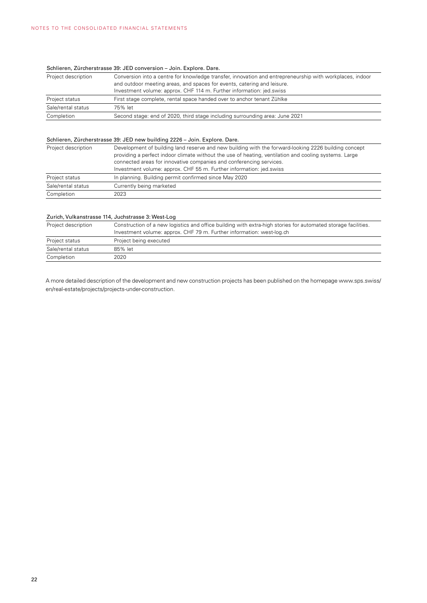# Schlieren, Zürcherstrasse 39: JED conversion – Join. Explore. Dare.

| Project description | Conversion into a centre for knowledge transfer, innovation and entrepreneurship with workplaces, indoor |  |  |
|---------------------|----------------------------------------------------------------------------------------------------------|--|--|
|                     | and outdoor meeting areas, and spaces for events, catering and leisure.                                  |  |  |
|                     | Investment volume: approx. CHF 114 m. Further information: jed.swiss                                     |  |  |
| Project status      | First stage complete, rental space handed over to anchor tenant Zühlke                                   |  |  |
| Sale/rental status  | 75% let                                                                                                  |  |  |
| Completion          | Second stage: end of 2020, third stage including surrounding area: June 2021                             |  |  |

#### Schlieren, Zürcherstrasse 39: JED new building 2226 – Join. Explore. Dare.

| Project description | Development of building land reserve and new building with the forward-looking 2226 building concept<br>providing a perfect indoor climate without the use of heating, ventilation and cooling systems. Large<br>connected areas for innovative companies and conferencing services.<br>Investment volume: approx. CHF 55 m. Further information: jed.swiss |
|---------------------|-------------------------------------------------------------------------------------------------------------------------------------------------------------------------------------------------------------------------------------------------------------------------------------------------------------------------------------------------------------|
| Project status      | In planning. Building permit confirmed since May 2020                                                                                                                                                                                                                                                                                                       |
| Sale/rental status  | Currently being marketed                                                                                                                                                                                                                                                                                                                                    |
| Completion          | 2023                                                                                                                                                                                                                                                                                                                                                        |

#### Zurich, Vulkanstrasse 114, Juchstrasse 3: West-Log

| Project description | Construction of a new logistics and office building with extra-high stories for automated storage facilities.<br>Investment volume: approx. CHF 79 m. Further information: west-log.ch |
|---------------------|----------------------------------------------------------------------------------------------------------------------------------------------------------------------------------------|
| Project status      | Project being executed                                                                                                                                                                 |
| Sale/rental status  | 85% let                                                                                                                                                                                |
| Completion          | 2020                                                                                                                                                                                   |

A more detailed description of the development and new construction projects has been published on the homepage www.sps.swiss/ en/real-estate/projects/projects-under-construction.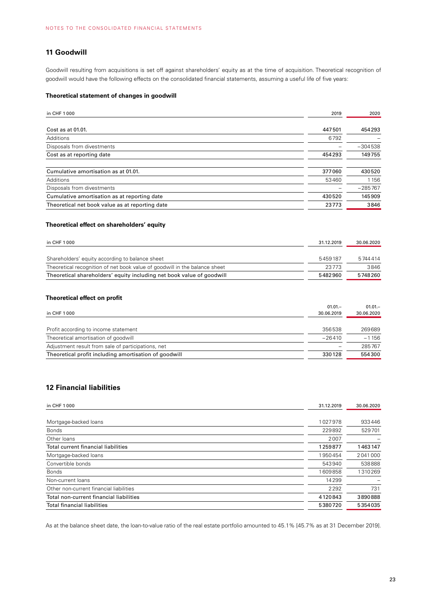# **11 Goodwill**

Goodwill resulting from acquisitions is set off against shareholders' equity as at the time of acquisition. Theoretical recognition of goodwill would have the following effects on the consolidated financial statements, assuming a useful life of five years:

#### **Theoretical statement of changes in goodwill**

| in CHF 1000                                     | 2019   | 2020      |
|-------------------------------------------------|--------|-----------|
| Cost as at 01.01.                               | 447501 | 454293    |
| Additions                                       | 6792   |           |
| Disposals from divestments                      |        | $-304538$ |
| Cost as at reporting date                       | 454293 | 149755    |
| Cumulative amortisation as at 01.01.            | 377060 | 430520    |
| Additions                                       | 53460  | 1156      |
| Disposals from divestments                      |        | $-285767$ |
| Cumulative amortisation as at reporting date    | 430520 | 145909    |
| Theoretical net book value as at reporting date | 23773  | 3846      |

# **Theoretical effect on shareholders' equity**

| in CHF 1000                                                                | 31.12.2019 | 30.06.2020 |
|----------------------------------------------------------------------------|------------|------------|
|                                                                            |            |            |
| Shareholders' equity according to balance sheet                            | 5459187    | 5744414    |
| Theoretical recognition of net book value of goodwill in the balance sheet | 23773      | 3846       |
| Theoretical shareholders' equity including net book value of goodwill      |            | 5748260    |

#### **Theoretical effect on profit**

|                                                       | $01.01 -$         | $01.01 -$  |
|-------------------------------------------------------|-------------------|------------|
| in CHF 1000                                           | 30.06.2019        | 30.06.2020 |
|                                                       |                   |            |
| Profit according to income statement                  | 356538            | 269689     |
| Theoretical amortisation of goodwill                  | $-26410$          | $-1156$    |
| Adjustment result from sale of participations, net    | $\qquad \qquad =$ | 285767     |
| Theoretical profit including amortisation of goodwill | 330128            | 554300     |

# **12 Financial liabilities**

| in CHF 1000                             | 31.12.2019 | 30.06.2020 |
|-----------------------------------------|------------|------------|
|                                         | 1027978    | 933446     |
| Mortgage-backed loans                   |            |            |
| <b>Bonds</b>                            | 229892     | 529701     |
| Other loans                             | 2007       |            |
| Total current financial liabilities     | 1259877    | 1463147    |
| Mortgage-backed loans                   | 1950454    | 2041000    |
| Convertible bonds                       | 543940     | 538888     |
| <b>Bonds</b>                            | 1609858    | 1310269    |
| Non-current loans                       | 14299      |            |
| Other non-current financial liabilities | 2292       | 731        |
| Total non-current financial liabilities | 4120843    | 3890888    |
| <b>Total financial liabilities</b>      | 5380720    | 5354035    |

As at the balance sheet date, the loan-to-value ratio of the real estate portfolio amounted to 45.1% [45.7% as at 31 December 2019].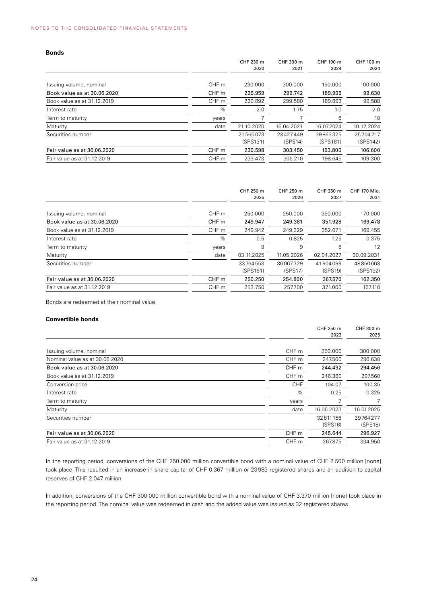| <b>Bonds</b>                |                  |                      |                     |                      |                      |
|-----------------------------|------------------|----------------------|---------------------|----------------------|----------------------|
|                             |                  | CHF 230 m<br>2020    | CHF 300 m<br>2021   | CHF 190 m<br>2024    | CHF 100 m<br>2024    |
| Issuing volume, nominal     | CHF m            | 230,000              | 300,000             | 190,000              | 100.000              |
| Book value as at 30.06.2020 | CHF <sub>m</sub> | 229.959              | 299.742             | 189.905              | 99.630               |
| Book value as at 31.12.2019 | CHF m            | 229.892              | 299.580             | 189.893              | 99.588               |
| Interest rate               | %                | 2.0                  | 1.75                | 1.0                  | 2.0                  |
| Term to maturity            | years            |                      |                     | 6                    | 10                   |
| Maturity                    | date             | 21.10.2020           | 16.04.2021          | 16.07.2024           | 10.12.2024           |
| Securities number           |                  | 21565073<br>(SPS131) | 23427449<br>(SPS14) | 39863325<br>(SPS181) | 25704217<br>(SPS142) |
| Fair value as at 30.06.2020 | CHF m            | 230.598              | 303.450             | 193.800              | 106.600              |
| Fair value as at 31.12.2019 | CHF m            | 233.473              | 306.210             | 198.645              | 109.300              |
|                             |                  |                      |                     |                      |                      |

|                             |                  | CHF 250 m<br>2025 | CHF 250 m<br>2026 | CHF 350 m<br>2027 | <b>CHF 170 Mio.</b><br>2031 |
|-----------------------------|------------------|-------------------|-------------------|-------------------|-----------------------------|
|                             |                  |                   |                   |                   |                             |
| Issuing volume, nominal     | CHF <sub>m</sub> | 250.000           | 250.000           | 350,000           | 170,000                     |
| Book value as at 30.06.2020 | CHF <sub>m</sub> | 249.947           | 249.381           | 351.928           | 169.478                     |
| Book value as at 31.12.2019 | CHF m            | 249.942           | 249.329           | 352.071           | 169.455                     |
| Interest rate               | %                | 0.5               | 0.825             | 1.25              | 0.375                       |
| Term to maturity            | years            | 9                 | 9                 | 8                 | 12                          |
| Maturity                    | date             | 03.11.2025        | 11.05.2026        | 02.04.2027        | 30.09.2031                  |
| Securities number           |                  | 33764553          | 36067729          | 41904099          | 48850668                    |
|                             |                  | (SPS161)          | (SPS17)           | (SPS19)           | (SPS192)                    |
| Fair value as at 30.06.2020 | CHF <sub>m</sub> | 250.250           | 254.800           | 367.570           | 162.350                     |
| Fair value as at 31.12.2019 | CHF m            | 253.750           | 257.700           | 371.000           | 167.110                     |
|                             |                  |                   |                   |                   |                             |

Bonds are redeemed at their nominal value.

#### **Convertible bonds**

|                                |                  | CHF 250 m  | CHF 300 m  |
|--------------------------------|------------------|------------|------------|
|                                |                  | 2023       | 2025       |
| Issuing volume, nominal        | CHF m            | 250,000    | 300.000    |
|                                |                  |            |            |
| Nominal value as at 30.06.2020 | CHF m            | 247.500    | 296.630    |
| Book value as at 30.06.2020    | CHF <sub>m</sub> | 244.432    | 294.456    |
| Book value as at 31.12.2019    | CHF m            | 246.380    | 297.560    |
| Conversion price               | <b>CHF</b>       | 104.07     | 100.35     |
| Interest rate                  | %                | 0.25       | 0.325      |
| Term to maturity               | years            |            | 7          |
| Maturity                       | date             | 16.06.2023 | 16.01.2025 |
| Securities number              |                  | 32811156   | 39764277   |
|                                |                  | (SPS16)    | (SPS18)    |
| Fair value as at 30.06.2020    | CHF <sub>m</sub> | 245.644    | 296.927    |
| Fair value as at 31.12.2019    | CHF m            | 267.875    | 334.950    |
|                                |                  |            |            |

In the reporting period, conversions of the CHF 250.000 million convertible bond with a nominal value of CHF 2.500 million [none] took place. This resulted in an increase in share capital of CHF 0.367 million or 23983 registered shares and an addition to capital reserves of CHF 2.047 million.

In addition, conversions of the CHF 300.000 million convertible bond with a nominal value of CHF 3.370 million [none] took place in the reporting period. The nominal value was redeemed in cash and the added value was issued as 32 registered shares.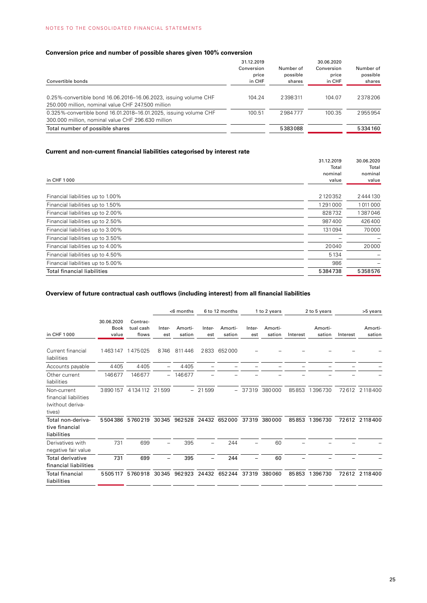# **Conversion price and number of possible shares given 100% conversion**

| Convertible bonds                                                                                                       | 31.12.2019<br>Conversion<br>price<br>in CHF | Number of<br>possible<br>shares | 30.06.2020<br>Conversion<br>price<br>in CHF | Number of<br>possible<br>shares |
|-------------------------------------------------------------------------------------------------------------------------|---------------------------------------------|---------------------------------|---------------------------------------------|---------------------------------|
| 0.25%-convertible bond 16.06.2016-16.06.2023, issuing volume CHF<br>250.000 million, nominal value CHF 247.500 million  | 104.24                                      | 2398311                         | 104.07                                      | 2378206                         |
| 0.325%-convertible bond 16.01.2018–16.01.2025, issuing volume CHF<br>300.000 million, nominal value CHF 296.630 million | 100.51                                      | 2984777                         | 100.35                                      | 2955954                         |
| Total number of possible shares                                                                                         |                                             | 5383088                         |                                             | 5334160                         |

# **Current and non-current financial liabilities categorised by interest rate**

|                                    | 31.12.2019 | 30.06.2020 |
|------------------------------------|------------|------------|
|                                    | Total      | Total      |
|                                    | nominal    | nominal    |
| in CHF 1000                        | value      | value      |
|                                    |            |            |
| Financial liabilities up to 1.00%  | 2120352    | 2444130    |
| Financial liabilities up to 1.50%  | 1291000    | 1011000    |
| Financial liabilities up to 2.00%  | 828732     | 1387046    |
| Financial liabilities up to 2.50%  | 987400     | 426400     |
| Financial liabilities up to 3.00%  | 131094     | 70000      |
| Financial liabilities up to 3.50%  |            |            |
| Financial liabilities up to 4.00%  | 20040      | 20000      |
| Financial liabilities up to 4.50%  | 5134       |            |
| Financial liabilities up to 5.00%  | 986        |            |
| <b>Total financial liabilities</b> | 5384738    | 5358576    |
|                                    |            |            |

# **Overview of future contractual cash outflows (including interest) from all financial liabilities**

|                                                                    |                                    |                                |                          | $<$ 6 months      |               | 6 to 12 months    |               | 1 to 2 years      |          | 2 to 5 years      |          | >5 years          |
|--------------------------------------------------------------------|------------------------------------|--------------------------------|--------------------------|-------------------|---------------|-------------------|---------------|-------------------|----------|-------------------|----------|-------------------|
| in CHF 1000                                                        | 30.06.2020<br><b>Book</b><br>value | Contrac-<br>tual cash<br>flows | Inter-<br>est            | Amorti-<br>sation | Inter-<br>est | Amorti-<br>sation | Inter-<br>est | Amorti-<br>sation | Interest | Amorti-<br>sation | Interest | Amorti-<br>sation |
| Current financial<br>liabilities                                   |                                    | 1463147 1475025                | 8746                     | 811446            | 2833          | 652000            |               |                   |          |                   |          |                   |
| Accounts payable                                                   | 4405                               | 4405                           |                          | 4405              |               |                   |               |                   |          |                   |          |                   |
| Other current<br>liabilities                                       | 146677                             | 146677                         | $\overline{\phantom{0}}$ | 146677            |               |                   |               |                   |          |                   |          |                   |
| Non-current<br>financial liabilities<br>(without deriva-<br>tives) | 3890157                            | 4 1 3 4 1 1 2                  | 21599                    | $-$               | 21599         | $-$               | 37319         | 380000            | 85853    | 1396730           |          | 72612 2118400     |
| Total non-deriva-<br>tive financial<br>liabilities                 |                                    | 5504386 5760219                | 30345                    | 962528            |               | 24432 652000      | 37319         | 380000            | 85853    | 1396730           |          | 72612 2118400     |
| Derivatives with<br>negative fair value                            | 731                                | 699                            |                          | 395               |               | 244               |               | 60                |          |                   |          |                   |
| Total derivative<br>financial liabilities                          | 731                                | 699                            |                          | 395               |               | 244               |               | 60                |          |                   |          |                   |
| <b>Total financial</b><br>liabilities                              | 5505117                            | 5760918 30345                  |                          | 962923            |               | 24432 652244      | 37319         | 380060            | 85853    | 1396730           |          | 72612 2118400     |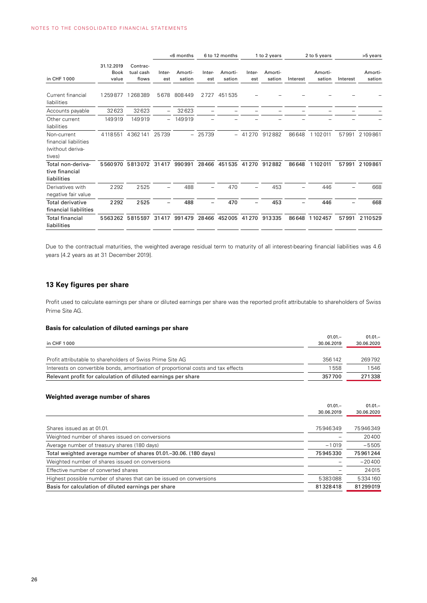|                                                                    |                                    |                                | <6 months<br>6 to 12 months |                   |               | 1 to 2 years      |               | 2 to 5 years      |          | >5 years          |          |                   |
|--------------------------------------------------------------------|------------------------------------|--------------------------------|-----------------------------|-------------------|---------------|-------------------|---------------|-------------------|----------|-------------------|----------|-------------------|
| in CHF 1000                                                        | 31.12.2019<br><b>Book</b><br>value | Contrac-<br>tual cash<br>flows | Inter-<br>est               | Amorti-<br>sation | Inter-<br>est | Amorti-<br>sation | Inter-<br>est | Amorti-<br>sation | Interest | Amorti-<br>sation | Interest | Amorti-<br>sation |
| Current financial<br>liabilities                                   | 1259877                            | 1268389                        | 5678                        | 808449            | 2727          | 451535            |               |                   |          |                   |          |                   |
| Accounts payable                                                   | 32623                              | 32623                          |                             | 32623             |               |                   |               |                   |          |                   |          |                   |
| Other current<br>liabilities                                       | 149919                             | 149919                         |                             | 149919            |               |                   |               |                   |          |                   |          |                   |
| Non-current<br>financial liabilities<br>(without deriva-<br>tives) | 4118551                            | 4362141                        | 25739                       |                   | $-25739$      |                   | 41270         | 912882            | 86648    | 1 102 011         | 57991    | 2109861           |
| Total non-deriva-<br>tive financial<br>liabilities                 | 5560970                            | 5813072                        | 31417                       | 990991            | 28466         | 451535            | 41270         | 912882            | 86648    | 1102011           | 57991    | 2109861           |
| Derivatives with<br>negative fair value                            | 2292                               | 2525                           |                             | 488               |               | 470               |               | 453               |          | 446               |          | 668               |
| Total derivative<br>financial liabilities                          | 2292                               | 2525                           |                             | 488               |               | 470               |               | 453               |          | 446               |          | 668               |
| <b>Total financial</b><br>liabilities                              |                                    | 5563262 5815597                | 31417                       | 991479            |               | 28466 452005      | 41 270        | 913335            | 86648    | 1102457           | 57991    | 2 110 5 29        |

Due to the contractual maturities, the weighted average residual term to maturity of all interest-bearing financial liabilities was 4.6 years [4.2 years as at 31 December 2019].

# **13 Key figures per share**

Profit used to calculate earnings per share or diluted earnings per share was the reported profit attributable to shareholders of Swiss Prime Site AG.

#### **Basis for calculation of diluted earnings per share**

|                                                                                    | $01.01 -$  | $01.01 -$  |
|------------------------------------------------------------------------------------|------------|------------|
| in CHF 1000                                                                        | 30.06.2019 | 30.06.2020 |
|                                                                                    |            |            |
| Profit attributable to shareholders of Swiss Prime Site AG                         | 356142     | 269792     |
| Interests on convertible bonds, amortisation of proportional costs and tax effects | 1558       | 1546       |
| Relevant profit for calculation of diluted earnings per share                      | 357700     | 271338     |

# **Weighted average number of shares**

|                                                                     | $01.01 -$  | $01.01 -$  |
|---------------------------------------------------------------------|------------|------------|
|                                                                     | 30.06.2019 | 30.06.2020 |
|                                                                     |            |            |
| Shares issued as at 01.01.                                          | 75946349   | 75946349   |
| Weighted number of shares issued on conversions                     |            | 20400      |
| Average number of treasury shares (180 days)                        | $-1019$    | $-5505$    |
| Total weighted average number of shares 01.01.–30.06. (180 days)    | 75945330   | 75961244   |
| Weighted number of shares issued on conversions                     |            | $-20400$   |
| Effective number of converted shares                                |            | 24015      |
| Highest possible number of shares that can be issued on conversions | 5383088    | 5334160    |
| Basis for calculation of diluted earnings per share                 | 81328418   | 81299019   |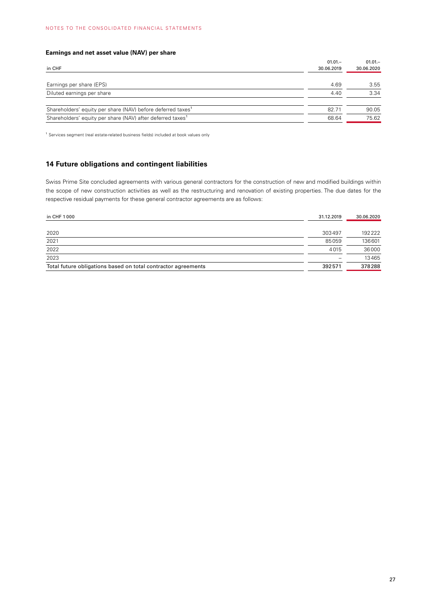# **Earnings and net asset value (NAV) per share**

| in CHF                                                                  | $01.01 -$<br>30.06.2019 | $01.01 -$<br>30.06.2020 |
|-------------------------------------------------------------------------|-------------------------|-------------------------|
| Earnings per share (EPS)                                                | 4.69                    | 3.55                    |
| Diluted earnings per share                                              | 4.40                    | 3.34                    |
| Shareholders' equity per share (NAV) before deferred taxes <sup>1</sup> | 82.71                   | 90.05                   |
| Shareholders' equity per share (NAV) after deferred taxes <sup>1</sup>  | 68.64                   | 75.62                   |

<sup>1</sup> Services segment (real estate-related business fields) included at book values only

# **14 Future obligations and contingent liabilities**

Swiss Prime Site concluded agreements with various general contractors for the construction of new and modified buildings within the scope of new construction activities as well as the restructuring and renovation of existing properties. The due dates for the respective residual payments for these general contractor agreements are as follows:

| in CHF 1000                                                   | 31.12.2019               | 30.06.2020 |
|---------------------------------------------------------------|--------------------------|------------|
|                                                               |                          |            |
| 2020                                                          | 303497                   | 192222     |
| 2021                                                          | 85059                    | 136601     |
| 2022                                                          | 4015                     | 36000      |
| 2023                                                          | $\overline{\phantom{0}}$ | 13465      |
| Total future obligations based on total contractor agreements | 392571                   | 378288     |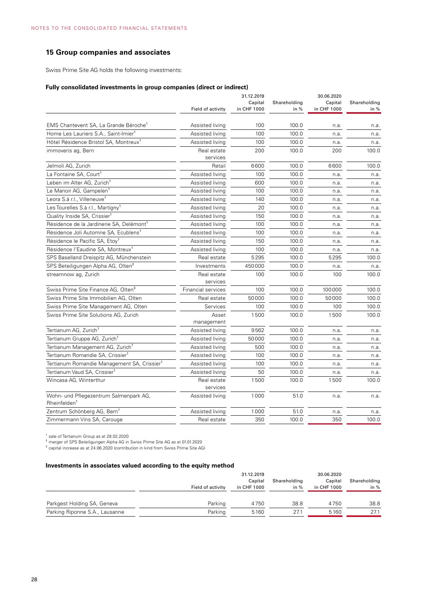# **15 Group companies and associates**

Swiss Prime Site AG holds the following investments:

#### **Fully consolidated investments in group companies (direct or indirect)**

|                                                                    | Field of activity       | 31.12.2019<br>Capital<br>in CHF 1000 | Shareholding<br>in $%$ | 30.06.2020<br>Capital<br>in CHF 1000 | Shareholding<br>in % |
|--------------------------------------------------------------------|-------------------------|--------------------------------------|------------------------|--------------------------------------|----------------------|
|                                                                    |                         |                                      |                        |                                      |                      |
| EMS Chantevent SA, La Grande Béroche <sup>1</sup>                  | Assisted living         | 100                                  | 100.0                  | n.a.                                 | n.a.                 |
| Home Les Lauriers S.A., Saint-Imier <sup>1</sup>                   | Assisted living         | 100                                  | 100.0                  | n.a.                                 | n.a.                 |
| Hôtel Résidence Bristol SA, Montreux <sup>1</sup>                  | Assisted living         | 100                                  | 100.0                  | n.a.                                 | n.a.                 |
| immoveris ag, Bern                                                 | Real estate<br>services | 200                                  | 100.0                  | 200                                  | 100.0                |
| Jelmoli AG, Zurich                                                 | Retail                  | 6600                                 | 100.0                  | 6600                                 | 100.0                |
| La Fontaine SA, Court <sup>1</sup>                                 | Assisted living         | 100                                  | 100.0                  | n.a.                                 | n.a.                 |
| Leben im Alter AG, Zurich <sup>1</sup>                             | Assisted living         | 600                                  | 100.0                  | n.a.                                 | n.a.                 |
| Le Manoir AG, Gampelen <sup>1</sup>                                | Assisted living         | 100                                  | 100.0                  | n.a.                                 | n.a.                 |
| Leora S.à r.l., Villeneuve <sup>1</sup>                            | Assisted living         | 140                                  | 100.0                  | n.a.                                 | n.a.                 |
| Les Tourelles S.à r.l., Martigny <sup>1</sup>                      | Assisted living         | 20                                   | 100.0                  | n.a.                                 | n.a.                 |
| Quality Inside SA, Crissier <sup>1</sup>                           | Assisted living         | 150                                  | 100.0                  | n.a.                                 | n.a.                 |
| Résidence de la Jardinerie SA, Delémont <sup>1</sup>               | Assisted living         | 100                                  | 100.0                  | n.a.                                 | n.a.                 |
| Résidence Joli Automne SA, Ecublens <sup>1</sup>                   | Assisted living         | 100                                  | 100.0                  | n.a.                                 | n.a.                 |
| Résidence le Pacific SA, Etoy <sup>1</sup>                         | Assisted living         | 150                                  | 100.0                  | n.a.                                 | n.a.                 |
| Résidence l'Eaudine SA, Montreux <sup>1</sup>                      | Assisted living         | 100                                  | 100.0                  | n.a.                                 | n.a.                 |
| SPS Baselland Dreispitz AG, Münchenstein                           | Real estate             | 5295                                 | 100.0                  | 5295                                 | 100.0                |
| SPS Beteiligungen Alpha AG, Olten <sup>2</sup>                     | Investments             | 450000                               | 100.0                  | n.a.                                 | n.a.                 |
| streamnow ag, Zurich                                               | Real estate<br>services | 100                                  | 100.0                  | 100                                  | 100.0                |
| Swiss Prime Site Finance AG, Olten <sup>3</sup>                    | Financial services      | 100                                  | 100.0                  | 100000                               | 100.0                |
| Swiss Prime Site Immobilien AG, Olten                              | Real estate             | 50000                                | 100.0                  | 50000                                | 100.0                |
| Swiss Prime Site Management AG, Olten                              | Services                | 100                                  | 100.0                  | 100                                  | 100.0                |
| Swiss Prime Site Solutions AG, Zurich                              | Asset<br>management     | 1500                                 | 100.0                  | 1500                                 | 100.0                |
| Tertianum AG, Zurich <sup>1</sup>                                  | Assisted living         | 9562                                 | 100.0                  | n.a.                                 | n.a.                 |
| Tertianum Gruppe AG, Zurich <sup>1</sup>                           | Assisted living         | 50000                                | 100.0                  | n.a.                                 | n.a.                 |
| Tertianum Management AG, Zurich <sup>1</sup>                       | Assisted living         | 500                                  | 100.0                  | n.a.                                 | n.a.                 |
| Tertianum Romandie SA, Crissier <sup>1</sup>                       | Assisted living         | 100                                  | 100.0                  | n.a.                                 | n.a.                 |
| Tertianum Romandie Management SA, Crissier <sup>1</sup>            | Assisted living         | 100                                  | 100.0                  | n.a.                                 | n.a.                 |
| Tertianum Vaud SA, Crissier <sup>1</sup>                           | Assisted living         | 50                                   | 100.0                  | n.a.                                 | n.a.                 |
| Wincasa AG, Winterthur                                             | Real estate<br>services | 1500                                 | 100.0                  | 1500                                 | 100.0                |
| Wohn- und Pflegezentrum Salmenpark AG,<br>Rheinfelden <sup>1</sup> | Assisted living         | 1000                                 | 51.0                   | n.a.                                 | n.a.                 |
| Zentrum Schönberg AG, Bern <sup>1</sup>                            | Assisted living         | 1000                                 | 51.0                   | n.a.                                 | n.a.                 |
| Zimmermann Vins SA, Carouge                                        | Real estate             | 350                                  | 100.0                  | 350                                  | 100.0                |

<sup>1</sup> sale of Tertianum Group as at 28.02.2020<br><sup>2</sup> merger of SPS Beteiligungen Alpha AG in Swiss Prime Site AG as at 01.01.2020<br><sup>3</sup> capital increase as at 24.06.2020 (contribution in kind from Swiss Prime Site AG)

#### **Investments in associates valued according to the equity method**

|                                |                   | 31.12.2019  |              | 30.06.2020  |              |
|--------------------------------|-------------------|-------------|--------------|-------------|--------------|
|                                |                   | Capital     | Shareholding | Capital     | Shareholding |
|                                | Field of activity | in CHF 1000 | in $%$       | in CHF 1000 | in $%$       |
|                                |                   |             |              |             |              |
| Parkgest Holding SA, Geneva    | Parking           | 4750        | 38.8         | 4750        | 38.8         |
| Parking Riponne S.A., Lausanne | Parking           | 5160        | 27.1         | 5160        | 27.1         |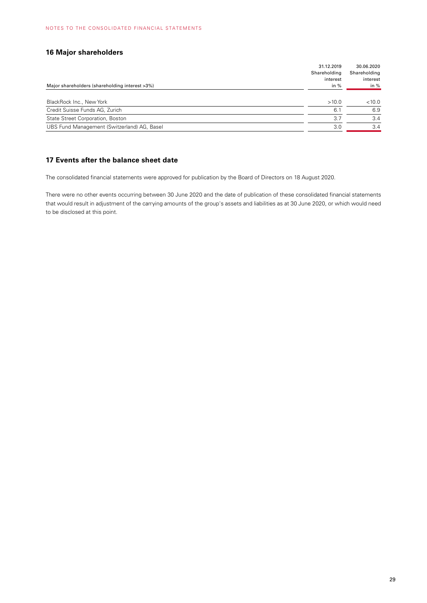# **16 Major shareholders**

|                                                | 31.12.2019   | 30.06.2020   |
|------------------------------------------------|--------------|--------------|
|                                                | Shareholding | Shareholding |
|                                                | interest     | interest     |
| Major shareholders (shareholding interest >3%) | in $%$       | in $%$       |
|                                                |              |              |
| BlackRock Inc., New York                       | >10.0        | < 10.0       |
| Credit Suisse Funds AG, Zurich                 | 6.7          | 6.9          |
| State Street Corporation, Boston               | 3.7          | 3.4          |
| UBS Fund Management (Switzerland) AG, Basel    | 3.0          | 3.4          |

### **17 Events after the balance sheet date**

The consolidated financial statements were approved for publication by the Board of Directors on 18 August 2020.

There were no other events occurring between 30 June 2020 and the date of publication of these consolidated financial statements that would result in adjustment of the carrying amounts of the group's assets and liabilities as at 30 June 2020, or which would need to be disclosed at this point.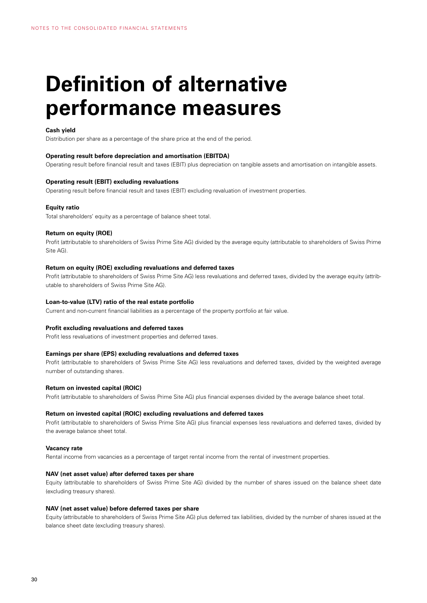# **Definition of alternative performance measures**

#### **Cash yield**

Distribution per share as a percentage of the share price at the end of the period.

#### **Operating result before depreciation and amortisation (EBITDA)**

Operating result before financial result and taxes (EBIT) plus depreciation on tangible assets and amortisation on intangible assets.

#### **Operating result (EBIT) excluding revaluations**

Operating result before financial result and taxes (EBIT) excluding revaluation of investment properties.

#### **Equity ratio**

Total shareholders' equity as a percentage of balance sheet total.

#### **Return on equity (ROE)**

Profit (attributable to shareholders of Swiss Prime Site AG) divided by the average equity (attributable to shareholders of Swiss Prime Site AG).

#### **Return on equity (ROE) excluding revaluations and deferred taxes**

Profit (attributable to shareholders of Swiss Prime Site AG) less revaluations and deferred taxes, divided by the average equity (attributable to shareholders of Swiss Prime Site AG).

#### **Loan-to-value (LTV) ratio of the real estate portfolio**

Current and non-current financial liabilities as a percentage of the property portfolio at fair value.

#### **Profit excluding revaluations and deferred taxes**

Profit less revaluations of investment properties and deferred taxes.

#### **Earnings per share (EPS) excluding revaluations and deferred taxes**

Profit (attributable to shareholders of Swiss Prime Site AG) less revaluations and deferred taxes, divided by the weighted average number of outstanding shares.

#### **Return on invested capital (ROIC)**

Profit (attributable to shareholders of Swiss Prime Site AG) plus financial expenses divided by the average balance sheet total.

#### **Return on invested capital (ROIC) excluding revaluations and deferred taxes**

Profit (attributable to shareholders of Swiss Prime Site AG) plus financial expenses less revaluations and deferred taxes, divided by the average balance sheet total.

#### **Vacancy rate**

Rental income from vacancies as a percentage of target rental income from the rental of investment properties.

#### **NAV (net asset value) after deferred taxes per share**

Equity (attributable to shareholders of Swiss Prime Site AG) divided by the number of shares issued on the balance sheet date (excluding treasury shares).

#### **NAV (net asset value) before deferred taxes per share**

Equity (attributable to shareholders of Swiss Prime Site AG) plus deferred tax liabilities, divided by the number of shares issued at the balance sheet date (excluding treasury shares).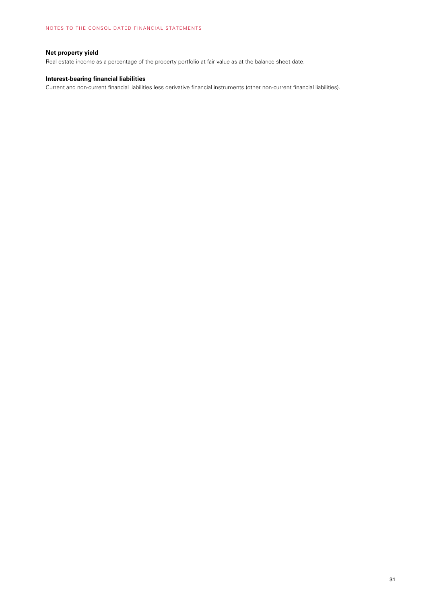# **Net property yield**

Real estate income as a percentage of the property portfolio at fair value as at the balance sheet date.

#### **Interest-bearing financial liabilities**

Current and non-current financial liabilities less derivative financial instruments (other non-current financial liabilities).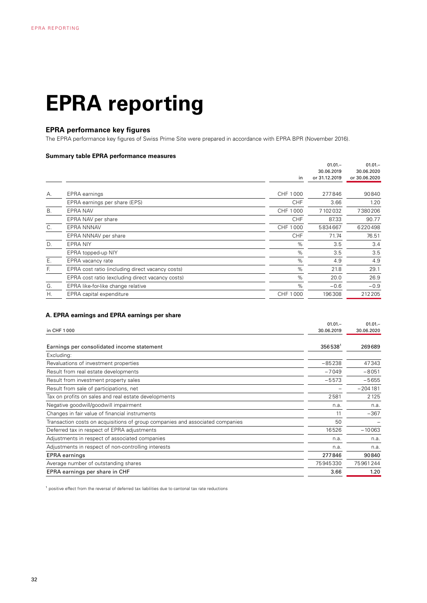# **EPRA reporting**

# **EPRA performance key figures**

The EPRA performance key figures of Swiss Prime Site were prepared in accordance with EPRA BPR (November 2016).

#### **Summary table EPRA performance measures**

|           |                                                  | in         | $01.01 -$<br>30.06.2019<br>or 31.12.2019 | $01.01 -$<br>30.06.2020<br>or 30.06.2020 |
|-----------|--------------------------------------------------|------------|------------------------------------------|------------------------------------------|
| А.        | EPRA earnings                                    | CHF 1000   | 277846                                   | 90840                                    |
|           | EPRA earnings per share (EPS)                    | <b>CHF</b> | 3.66                                     | 1.20                                     |
| <b>B.</b> | EPRA NAV                                         | CHF 1000   | 7102032                                  | 7380206                                  |
|           | EPRA NAV per share                               | <b>CHF</b> | 87.33                                    | 90.77                                    |
| C.        | <b>EPRA NNNAV</b>                                | CHF 1000   | 5834667                                  | 6220498                                  |
|           | EPRA NNNAV per share                             | <b>CHF</b> | 71.74                                    | 76.51                                    |
| D.        | <b>EPRA NIY</b>                                  | %          | 3.5                                      | 3.4                                      |
|           | EPRA topped-up NIY                               | %          | 3.5                                      | 3.5                                      |
| Ε.        | EPRA vacancy rate                                | $\%$       | 4.9                                      | 4.9                                      |
| E.        | EPRA cost ratio (including direct vacancy costs) | %          | 21.8                                     | 29.1                                     |
|           | EPRA cost ratio (excluding direct vacancy costs) | %          | 20.0                                     | 26.9                                     |
| G.        | EPRA like-for-like change relative               | %          | $-0.6$                                   | $-0.9$                                   |
| Η.        | EPRA capital expenditure                         | CHF 1000   | 196308                                   | 212205                                   |
|           |                                                  |            |                                          |                                          |

#### **A. EPRA earnings and EPRA earnings per share**

|                                                                               | $01.01 -$  | $01.01 -$  |
|-------------------------------------------------------------------------------|------------|------------|
| in CHF 1000                                                                   | 30.06.2019 | 30.06.2020 |
|                                                                               |            |            |
| Earnings per consolidated income statement                                    | $356538^1$ | 269689     |
| Excluding:                                                                    |            |            |
| Revaluations of investment properties                                         | $-85238$   | 47343      |
| Result from real estate developments                                          | $-7049$    | $-8051$    |
| Result from investment property sales                                         | $-5573$    | $-5655$    |
| Result from sale of participations, net                                       |            | $-204181$  |
| Tax on profits on sales and real estate developments                          | 2581       | 2125       |
| Negative goodwill/goodwill impairment                                         | n.a.       | n.a.       |
| Changes in fair value of financial instruments                                | 11         | $-367$     |
| Transaction costs on acquisitions of group companies and associated companies | 50         |            |
| Deferred tax in respect of EPRA adjustments                                   | 16526      | $-10063$   |
| Adjustments in respect of associated companies                                | n.a.       | n.a.       |
| Adjustments in respect of non-controlling interests                           | n.a.       | n.a.       |
| <b>EPRA</b> earnings                                                          | 277846     | 90840      |
| Average number of outstanding shares                                          | 75945330   | 75961244   |
| EPRA earnings per share in CHF                                                | 3.66       | 1.20       |
|                                                                               |            |            |

<sup>1</sup> positive effect from the reversal of deferred tax liabilities due to cantonal tax rate reductions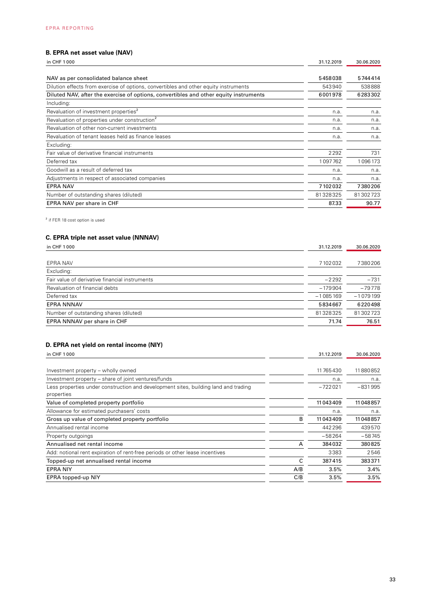# **B. EPRA net asset value (NAV)**

| in CHF 1000                                                                           | 31.12.2019 | 30.06.2020 |
|---------------------------------------------------------------------------------------|------------|------------|
| NAV as per consolidated balance sheet                                                 | 5458038    | 5744414    |
| Dilution effects from exercise of options, convertibles and other equity instruments  | 543940     | 538888     |
| Diluted NAV, after the exercise of options, convertibles and other equity instruments | 6001978    | 6283302    |
| Including:                                                                            |            |            |
| Revaluation of investment properties <sup>2</sup>                                     | n.a.       | n.a.       |
| Revaluation of properties under construction <sup>2</sup>                             | n.a.       | n.a.       |
| Revaluation of other non-current investments                                          | n.a.       | n.a.       |
| Revaluation of tenant leases held as finance leases                                   | n.a.       | n.a.       |
| Excluding:                                                                            |            |            |
| Fair value of derivative financial instruments                                        | 2292       | 731        |
| Deferred tax                                                                          | 1097762    | 1096173    |
| Goodwill as a result of deferred tax                                                  | n.a.       | n.a.       |
| Adjustments in respect of associated companies                                        | n.a.       | n.a.       |
| <b>EPRA NAV</b>                                                                       | 7102032    | 7380206    |
| Number of outstanding shares (diluted)                                                | 81328325   | 81302723   |
| EPRA NAV per share in CHF                                                             | 87.33      | 90.77      |

<sup>2</sup> if FER 18 cost option is used

# **C. EPRA triple net asset value (NNNAV)**

| in CHF 1000                                    | 31.12.2019 | 30.06.2020 |
|------------------------------------------------|------------|------------|
| EPRA NAV                                       | 7102032    | 7380206    |
| Excluding:                                     |            |            |
| Fair value of derivative financial instruments | $-2292$    | $-731$     |
| Revaluation of financial debts                 | $-179904$  | $-79778$   |
| Deferred tax                                   | $-1085169$ | $-1079199$ |
| <b>EPRA NNNAV</b>                              | 5834667    | 6220498    |
| Number of outstanding shares (diluted)         | 81328325   | 81302723   |
| EPRA NNNAV per share in CHF                    | 71.74      | 76.51      |

# **D. EPRA net yield on rental income (NIY)**

| in CHF 1000                                                                         |     | 31.12.2019 | 30.06.2020 |
|-------------------------------------------------------------------------------------|-----|------------|------------|
|                                                                                     |     |            |            |
| Investment property – wholly owned                                                  |     | 11765430   | 11880852   |
| Investment property – share of joint ventures/funds                                 |     | n.a.       | n.a.       |
| Less properties under construction and development sites, building land and trading |     | $-722021$  | $-831995$  |
| properties                                                                          |     |            |            |
| Value of completed property portfolio                                               |     | 11043409   | 11048857   |
| Allowance for estimated purchasers' costs                                           |     | n.a.       | n.a.       |
| Gross up value of completed property portfolio                                      | в   | 11043409   | 11048857   |
| Annualised rental income                                                            |     | 442296     | 439570     |
| Property outgoings                                                                  |     | $-58264$   | $-58745$   |
| Annualised net rental income                                                        | A   | 384032     | 380825     |
| Add: notional rent expiration of rent-free periods or other lease incentives        |     | 3383       | 2546       |
| Topped-up net annualised rental income                                              | C   | 387415     | 383371     |
| <b>EPRA NIY</b>                                                                     | A/B | 3.5%       | 3.4%       |
| EPRA topped-up NIY                                                                  | C/B | 3.5%       | 3.5%       |
|                                                                                     |     |            |            |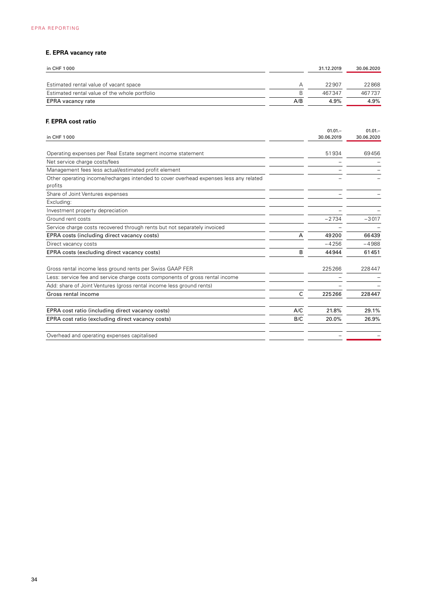# **E. EPRA vacancy rate**

| in CHF 1000                                   |     | 31.12.2019 | 30.06.2020 |
|-----------------------------------------------|-----|------------|------------|
| Estimated rental value of vacant space        |     | 22907      | 22868      |
| Estimated rental value of the whole portfolio | В   | 467347     | 467737     |
| EPRA vacancy rate                             | A/B | 4.9%       | 4.9%       |

# **F. EPRA cost ratio**

|                                                                                                  |     | $01.01 -$  | $01.01 -$  |
|--------------------------------------------------------------------------------------------------|-----|------------|------------|
| in CHF 1000                                                                                      |     | 30.06.2019 | 30.06.2020 |
| Operating expenses per Real Estate segment income statement                                      |     | 51934      | 69456      |
| Net service charge costs/fees                                                                    |     |            |            |
| Management fees less actual/estimated profit element                                             |     |            |            |
| Other operating income/recharges intended to cover overhead expenses less any related<br>profits |     |            |            |
| Share of Joint Ventures expenses                                                                 |     |            |            |
| Excluding:                                                                                       |     |            |            |
| Investment property depreciation                                                                 |     |            |            |
| Ground rent costs                                                                                |     | $-2734$    | $-3017$    |
| Service charge costs recovered through rents but not separately invoiced                         |     |            |            |
| EPRA costs (including direct vacancy costs)                                                      | Α   | 49200      | 66439      |
| Direct vacancy costs                                                                             |     | $-4256$    | $-4988$    |
| EPRA costs (excluding direct vacancy costs)                                                      | B   | 44944      | 61451      |
| Gross rental income less ground rents per Swiss GAAP FER                                         |     | 225266     | 228447     |
| Less: service fee and service charge costs components of gross rental income                     |     |            |            |
| Add: share of Joint Ventures (gross rental income less ground rents)                             |     |            |            |
| Gross rental income                                                                              | C   | 225266     | 228447     |
| EPRA cost ratio (including direct vacancy costs)                                                 | A/C | 21.8%      | 29.1%      |
| EPRA cost ratio (excluding direct vacancy costs)                                                 | B/C | 20.0%      | 26.9%      |
| Overhead and operating expenses capitalised                                                      |     |            |            |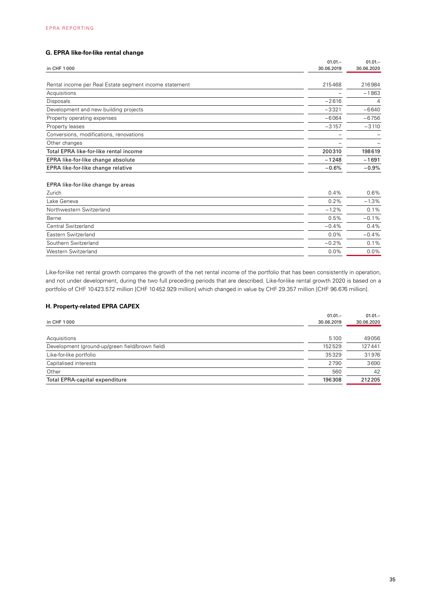# **G. EPRA like-for-like rental change**

| in CHF 1000                                            | $01.01 -$<br>30.06.2019 | $01.01 -$<br>30.06.2020 |
|--------------------------------------------------------|-------------------------|-------------------------|
|                                                        |                         |                         |
| Rental income per Real Estate segment income statement | 215468                  | 216984                  |
| Acquisitions                                           |                         | $-1863$                 |
| Disposals                                              | $-2616$                 | $\overline{4}$          |
| Development and new building projects                  | $-3321$                 | $-6640$                 |
| Property operating expenses                            | $-6064$                 | $-6756$                 |
| Property leases                                        | $-3157$                 | $-3110$                 |
| Conversions, modifications, renovations                |                         |                         |
| Other changes                                          |                         |                         |
| Total EPRA like-for-like rental income                 | 200310                  | 198619                  |
| EPRA like-for-like change absolute                     | $-1248$                 | $-1691$                 |
| EPRA like-for-like change relative                     | $-0.6%$                 | $-0.9%$                 |

#### EPRA like-for-like change by areas

| 0.2%<br>Lake Geneva<br>Northwestern Switzerland<br>$-1.2%$ | 0.4%<br>$0.6\%$ |
|------------------------------------------------------------|-----------------|
|                                                            | $-1.3%$         |
|                                                            | 0.1%            |
| 0.5%<br>Berne                                              | $-0.1%$         |
| Central Switzerland<br>$-0.4\%$                            | $0.4\%$         |
| $0.0\%$<br>Eastern Switzerland                             | $-0.4%$         |
| Southern Switzerland<br>$-0.2\%$                           | $0.1\%$         |
| $0.0\%$<br>Western Switzerland                             | $0.0\%$         |

Like-for-like net rental growth compares the growth of the net rental income of the portfolio that has been consistently in operation, and not under development, during the two full preceding periods that are described. Like-for-like rental growth 2020 is based on a portfolio of CHF 10423.572 million [CHF 10452.929 million] which changed in value by CHF 29.357 million [CHF 96.676 million].

### **H. Property-related EPRA CAPEX**

|                                                 | $01.01 -$  | $01.01 -$  |
|-------------------------------------------------|------------|------------|
| in CHF 1000                                     | 30.06.2019 | 30.06.2020 |
|                                                 |            |            |
| Acquisitions                                    | 5100       | 49056      |
| Development (ground-up/green field/brown field) | 152529     | 127441     |
| Like-for-like portfolio                         | 35329      | 31976      |
| Capitalised interests                           | 2790       | 3690       |
| Other                                           | 560        | 42         |
| <b>Total EPRA-capital expenditure</b>           | 196308     | 212205     |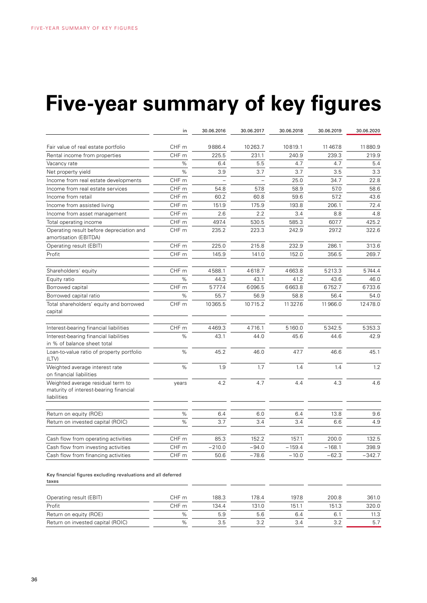# **Five-year summary of key figures**

|                                                                                            | in               | 30.06.2016 | 30.06.2017 | 30.06.2018 | 30.06.2019 | 30.06.2020 |
|--------------------------------------------------------------------------------------------|------------------|------------|------------|------------|------------|------------|
| Fair value of real estate portfolio                                                        | CHF m            | 9886.4     | 10263.7    | 10819.1    | 11467.8    | 11880.9    |
| Rental income from properties                                                              | CHF m            | 225.5      | 231.1      | 240.9      | 239.3      | 219.9      |
| Vacancy rate                                                                               | %                | 6.4        | 5.5        | 4.7        | 4.7        | 5.4        |
| Net property yield                                                                         | $\%$             | 3.9        | 3.7        | 3.7        | 3.5        | 3.3        |
| Income from real estate developments                                                       | CHF m            |            |            | 25.0       | 34.7       | 22.8       |
| Income from real estate services                                                           | CHF <sub>m</sub> | 54.8       | 57.8       | 58.9       | 57.0       | 58.6       |
| Income from retail                                                                         | CHF m            | 60.2       | 60.8       | 59.6       | 57.2       | 43.6       |
| Income from assisted living                                                                | CHF m            | 151.9      | 175.9      | 193.8      | 206.1      | 72.4       |
| Income from asset management                                                               | CHF m            | 2.6        | 2.2        | 3.4        | 8.8        | 4.8        |
| Total operating income                                                                     | CHF m            | 497.4      | 530.5      | 585.3      | 607.7      | 425.2      |
| Operating result before depreciation and<br>amortisation (EBITDA)                          | CHF <sub>m</sub> | 235.2      | 223.3      | 242.9      | 297.2      | 322.6      |
| Operating result (EBIT)                                                                    | CHF m            | 225.0      | 215.8      | 232.9      | 286.1      | 313.6      |
| Profit                                                                                     | CHF m            | 145.9      | 141.0      | 152.0      | 356.5      | 269.7      |
| Shareholders' equity                                                                       | CHF m            | 4588.1     | 4618.7     | 4663.8     | 5213.3     | 5744.4     |
| Equity ratio                                                                               | $\%$             | 44.3       | 43.1       | 41.2       | 43.6       | 46.0       |
| Borrowed capital                                                                           | CHF m            | 5777.4     | 6096.5     | 6663.8     | 6752.7     | 6733.6     |
| Borrowed capital ratio                                                                     | %                | 55.7       | 56.9       | 58.8       | 56.4       | 54.0       |
| Total shareholders' equity and borrowed<br>capital                                         | CHF m            | 10365.5    | 10715.2    | 11 3 2 7.6 | 11966.0    | 12478.0    |
| Interest-bearing financial liabilities                                                     | CHF m            | 4469.3     | 4716.1     | 5160.0     | 5342.5     | 5353.3     |
| Interest-bearing financial liabilities<br>in % of balance sheet total                      | %                | 43.1       | 44.0       | 45.6       | 44.6       | 42.9       |
| Loan-to-value ratio of property portfolio<br>(LTV)                                         | %                | 45.2       | 46.0       | 47.7       | 46.6       | 45.1       |
| Weighted average interest rate<br>on financial liabilities                                 | %                | 1.9        | 1.7        | 1.4        | 1.4        | 1.2        |
| Weighted average residual term to<br>maturity of interest-bearing financial<br>liabilities | years            | 4.2        | 4.7        | 4.4        | 4.3        | 4.6        |
| Return on equity (ROE)                                                                     | $\%$             | 6.4        | 6.0        | 6.4        | 13.8       | 9.6        |
| Return on invested capital (ROIC)                                                          | %                | 3.7        | 3.4        | 3.4        | 6.6        | 4.9        |
| Cash flow from operating activities                                                        | CHF m            | 85.3       | 152.2      | 157.1      | 200.0      | 132.5      |
| Cash flow from investing activities                                                        | CHF <sub>m</sub> | $-210.0$   | $-94.0$    | $-159.4$   | $-168.1$   | 398.9      |
| Cash flow from financing activities                                                        | CHF m            | 50.6       | $-78.6$    | $-10.0$    | $-62.3$    | $-342.7$   |

Key financial figures excluding revaluations and all deferred taxes

| Operating result (EBIT)           | CHF m | 188.3 | 178.4 | 197.8 | 200.8 | 361.0 |
|-----------------------------------|-------|-------|-------|-------|-------|-------|
| Profit                            | CHF m | 134.4 | 131.0 | 151.1 | 151.3 | 320.0 |
| Return on equity (ROE)            | $\%$  | 5.9   | 5.6   | 6.4   |       | 11.3  |
| Return on invested capital (ROIC) | $\%$  | 3.5   |       | 3.4   | 3.2   | 5.7   |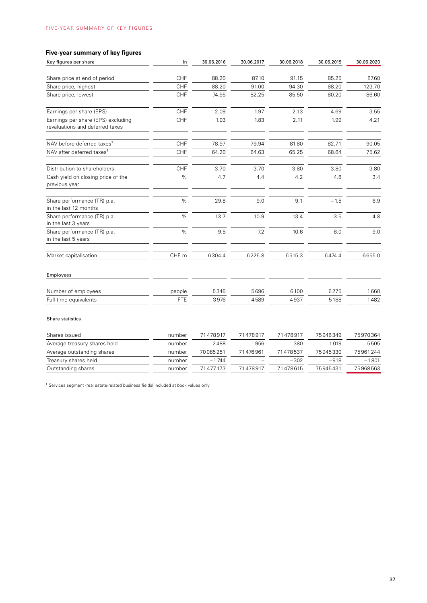# **Five-year summary of key figures**

| Key figures per share                                                 | in         | 30.06.2016 | 30.06.2017 | 30.06.2018 | 30.06.2019 | 30.06.2020 |
|-----------------------------------------------------------------------|------------|------------|------------|------------|------------|------------|
| Share price at end of period                                          | CHF        | 88.20      | 87.10      | 91.15      | 85.25      | 87.60      |
| Share price, highest                                                  | CHF        | 88.20      | 91.00      | 94.30      | 88.20      | 123.70     |
| Share price, lowest                                                   | CHF        | 74.95      | 82.25      | 85.50      | 80.20      | 86.60      |
| Earnings per share (EPS)                                              | CHF        | 2.09       | 1.97       | 2.13       | 4.69       | 3.55       |
| Earnings per share (EPS) excluding<br>revaluations and deferred taxes | CHF        | 1.93       | 1.83       | 2.11       | 1.99       | 4.21       |
| NAV before deferred taxes <sup>1</sup>                                | CHF        | 78.97      | 79.94      | 81.80      | 82.71      | 90.05      |
| NAV after deferred taxes <sup>1</sup>                                 | CHF        | 64.20      | 64.63      | 65.25      | 68.64      | 75.62      |
| Distribution to shareholders                                          | CHF        | 3.70       | 3.70       | 3.80       | 3.80       | 3.80       |
| Cash yield on closing price of the<br>previous year                   | %          | 4.7        | 4.4        | 4.2        | 4.8        | 3.4        |
| Share performance (TR) p.a.<br>in the last 12 months                  | %          | 29.8       | 9.0        | 9.1        | $-1.5$     | 6.9        |
| Share performance (TR) p.a.<br>in the last 3 years                    | $\%$       | 13.7       | 10.9       | 13.4       | 3.5        | 4.8        |
| Share performance (TR) p.a.<br>in the last 5 years                    | $\%$       | 9.5        | 7.2        | 10.6       | 8.0        | 9.0        |
| Market capitalisation                                                 | CHF m      | 6304.4     | 6225.8     | 6515.3     | 6474.4     | 6655.0     |
| Employees                                                             |            |            |            |            |            |            |
| Number of employees                                                   | people     | 5346       | 5696       | 6100       | 6275       | 1660       |
| Full-time equivalents                                                 | <b>FTE</b> | 3976       | 4589       | 4937       | 5188       | 1482       |
| Share statistics                                                      |            |            |            |            |            |            |
| Shares issued                                                         | number     | 71478917   | 71478917   | 71478917   | 75946349   | 75970364   |
| Average treasury shares held                                          | number     | $-2488$    | $-1956$    | $-380$     | $-1019$    | $-5505$    |
| Average outstanding shares                                            | number     | 70085251   | 71476961   | 71478537   | 75945330   | 75961244   |
| Treasury shares held                                                  | number     | $-1744$    |            | $-302$     | $-918$     | $-1801$    |
| Outstanding shares                                                    | number     | 71477173   | 71478917   | 71478615   | 75945431   | 75968563   |

<sup>1</sup> Services segment (real estate-related business fields) included at book values only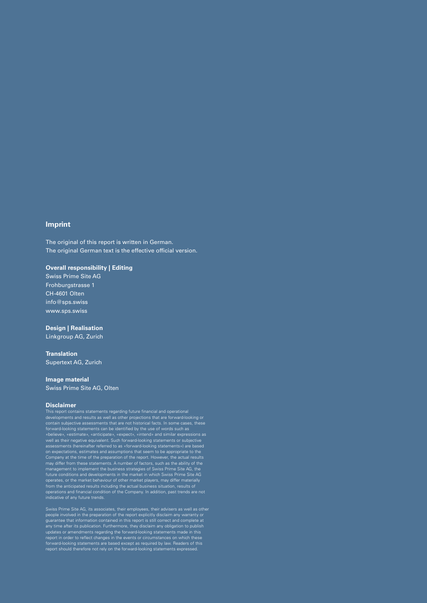#### **Imprint**

The original of this report is written in German. The original German text is the effective official version.

# **Overall responsibility | Editing**

Swiss Prime Site AG Frohburgstrasse 1 CH-4601 Olten info@sps.swiss www.sps.swiss

# **Design | Realisation**

Linkgroup AG, Zurich

#### **Translation**

Supertext AG, Zurich

#### **Image material**

Swiss Prime Site AG, Olten

#### **Disclaimer**

This report contains statements regarding future financial and operational<br>developments and results as well as other projections that are forward-looking or<br>contain subjective assessments that are not historical facts. In «believe», «estimate», «anticipate», «expect», «intend» and similar expressions as<br>well as their negative equivalent. Such forward-looking statements or subjective<br>assessments (hereinafter referred to as «forward-looking s may differ from these statements. A number of factors, such as the ability of the management to implement the business strategies of Swiss Prime Site AG, the future conditions and developments in the market in which Swiss

people involved in the preparation of the report explicitly disclaim any warranty or guarantee that information contained in this report is still correct and complete at any time after its publication. Furthermore, they disclaim any obligation to publish<br>updates or amendments regarding the forward-looking statements made in this<br>report in order to reflect changes in the events or circumsta forward-looking statements are based except as required by law. Readers of this report should therefore not rely on the forward-looking statements expressed.